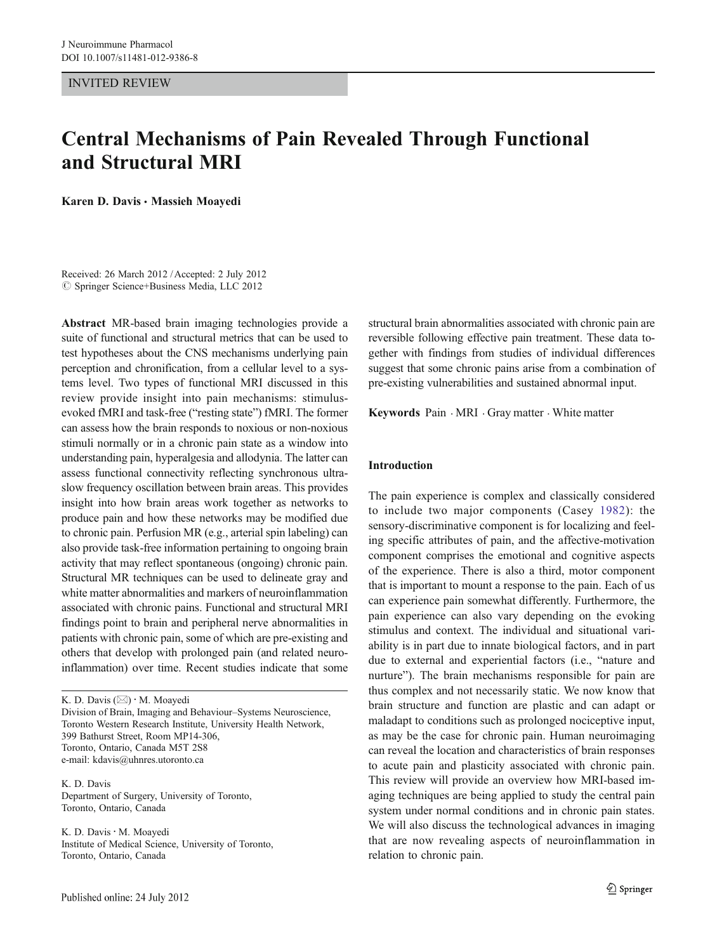INVITED REVIEW

# Central Mechanisms of Pain Revealed Through Functional and Structural MRI

Karen D. Davis · Massieh Moavedi

Received: 26 March 2012 /Accepted: 2 July 2012  $\oslash$  Springer Science+Business Media, LLC 2012

Abstract MR-based brain imaging technologies provide a suite of functional and structural metrics that can be used to test hypotheses about the CNS mechanisms underlying pain perception and chronification, from a cellular level to a systems level. Two types of functional MRI discussed in this review provide insight into pain mechanisms: stimulusevoked fMRI and task-free ("resting state") fMRI. The former can assess how the brain responds to noxious or non-noxious stimuli normally or in a chronic pain state as a window into understanding pain, hyperalgesia and allodynia. The latter can assess functional connectivity reflecting synchronous ultraslow frequency oscillation between brain areas. This provides insight into how brain areas work together as networks to produce pain and how these networks may be modified due to chronic pain. Perfusion MR (e.g., arterial spin labeling) can also provide task-free information pertaining to ongoing brain activity that may reflect spontaneous (ongoing) chronic pain. Structural MR techniques can be used to delineate gray and white matter abnormalities and markers of neuroinflammation associated with chronic pains. Functional and structural MRI findings point to brain and peripheral nerve abnormalities in patients with chronic pain, some of which are pre-existing and others that develop with prolonged pain (and related neuroinflammation) over time. Recent studies indicate that some

K. D. Davis  $(\boxtimes) \cdot M$ . Moayedi Division of Brain, Imaging and Behaviour–Systems Neuroscience, Toronto Western Research Institute, University Health Network, 399 Bathurst Street, Room MP14-306, Toronto, Ontario, Canada M5T 2S8 e-mail: kdavis@uhnres.utoronto.ca

K. D. Davis Department of Surgery, University of Toronto, Toronto, Ontario, Canada

K. D. Davis: M. Moayedi Institute of Medical Science, University of Toronto, Toronto, Ontario, Canada

structural brain abnormalities associated with chronic pain are reversible following effective pain treatment. These data together with findings from studies of individual differences suggest that some chronic pains arise from a combination of pre-existing vulnerabilities and sustained abnormal input.

Keywords Pain · MRI · Gray matter · White matter

## Introduction

The pain experience is complex and classically considered to include two major components (Casey [1982\)](#page-12-0): the sensory-discriminative component is for localizing and feeling specific attributes of pain, and the affective-motivation component comprises the emotional and cognitive aspects of the experience. There is also a third, motor component that is important to mount a response to the pain. Each of us can experience pain somewhat differently. Furthermore, the pain experience can also vary depending on the evoking stimulus and context. The individual and situational variability is in part due to innate biological factors, and in part due to external and experiential factors (i.e., "nature and nurture"). The brain mechanisms responsible for pain are thus complex and not necessarily static. We now know that brain structure and function are plastic and can adapt or maladapt to conditions such as prolonged nociceptive input, as may be the case for chronic pain. Human neuroimaging can reveal the location and characteristics of brain responses to acute pain and plasticity associated with chronic pain. This review will provide an overview how MRI-based imaging techniques are being applied to study the central pain system under normal conditions and in chronic pain states. We will also discuss the technological advances in imaging that are now revealing aspects of neuroinflammation in relation to chronic pain.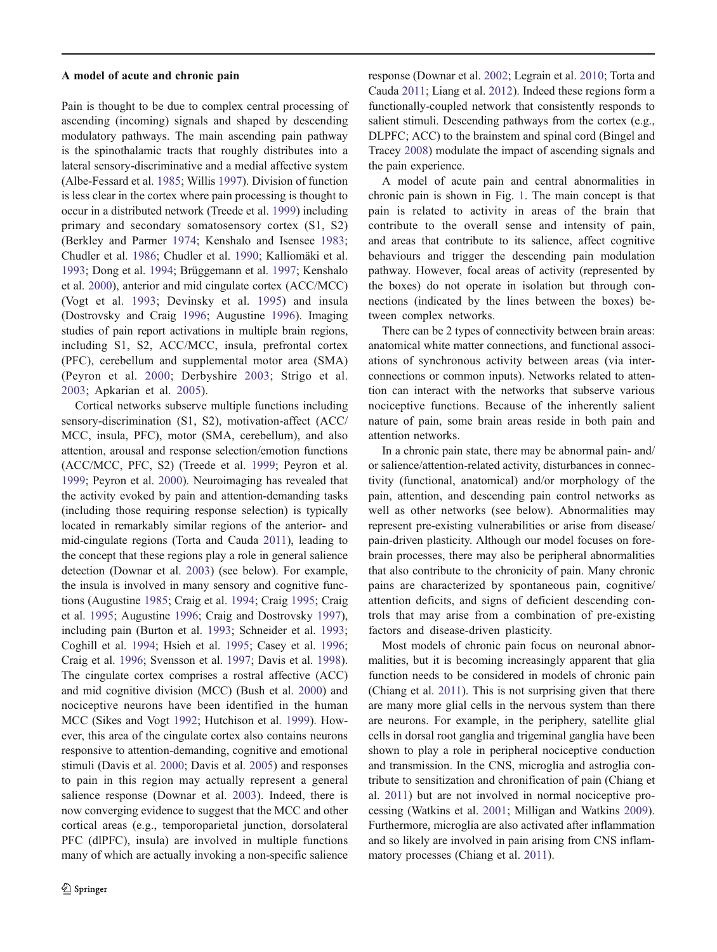#### A model of acute and chronic pain

Pain is thought to be due to complex central processing of ascending (incoming) signals and shaped by descending modulatory pathways. The main ascending pain pathway is the spinothalamic tracts that roughly distributes into a lateral sensory-discriminative and a medial affective system (Albe-Fessard et al. [1985](#page-12-0); Willis [1997](#page-16-0)). Division of function is less clear in the cortex where pain processing is thought to occur in a distributed network (Treede et al. [1999](#page-16-0)) including primary and secondary somatosensory cortex (S1, S2) (Berkley and Parmer [1974](#page-12-0); Kenshalo and Isensee [1983](#page-14-0); Chudler et al. [1986;](#page-13-0) Chudler et al. [1990](#page-13-0); Kalliomäki et al. [1993;](#page-14-0) Dong et al. [1994](#page-13-0); Brüggemann et al. [1997](#page-12-0); Kenshalo et al. [2000](#page-14-0)), anterior and mid cingulate cortex (ACC/MCC) (Vogt et al. [1993;](#page-16-0) Devinsky et al. [1995](#page-13-0)) and insula (Dostrovsky and Craig [1996;](#page-13-0) Augustine [1996](#page-12-0)). Imaging studies of pain report activations in multiple brain regions, including S1, S2, ACC/MCC, insula, prefrontal cortex (PFC), cerebellum and supplemental motor area (SMA) (Peyron et al. [2000;](#page-15-0) Derbyshire [2003](#page-13-0); Strigo et al. [2003](#page-15-0); Apkarian et al. [2005](#page-12-0)).

Cortical networks subserve multiple functions including sensory-discrimination (S1, S2), motivation-affect (ACC/ MCC, insula, PFC), motor (SMA, cerebellum), and also attention, arousal and response selection/emotion functions (ACC/MCC, PFC, S2) (Treede et al. [1999;](#page-16-0) Peyron et al. [1999;](#page-15-0) Peyron et al. [2000\)](#page-15-0). Neuroimaging has revealed that the activity evoked by pain and attention-demanding tasks (including those requiring response selection) is typically located in remarkably similar regions of the anterior- and mid-cingulate regions (Torta and Cauda [2011\)](#page-16-0), leading to the concept that these regions play a role in general salience detection (Downar et al. [2003\)](#page-13-0) (see below). For example, the insula is involved in many sensory and cognitive functions (Augustine [1985;](#page-12-0) Craig et al. [1994;](#page-13-0) Craig [1995;](#page-13-0) Craig et al. [1995;](#page-13-0) Augustine [1996;](#page-12-0) Craig and Dostrovsky [1997](#page-13-0)), including pain (Burton et al. [1993](#page-12-0); Schneider et al. [1993](#page-15-0); Coghill et al. [1994](#page-13-0); Hsieh et al. [1995](#page-14-0); Casey et al. [1996](#page-12-0); Craig et al. [1996;](#page-13-0) Svensson et al. [1997](#page-16-0); Davis et al. [1998](#page-13-0)). The cingulate cortex comprises a rostral affective (ACC) and mid cognitive division (MCC) (Bush et al. [2000\)](#page-12-0) and nociceptive neurons have been identified in the human MCC (Sikes and Vogt [1992](#page-15-0); Hutchison et al. [1999](#page-14-0)). However, this area of the cingulate cortex also contains neurons responsive to attention-demanding, cognitive and emotional stimuli (Davis et al. [2000](#page-13-0); Davis et al. [2005](#page-13-0)) and responses to pain in this region may actually represent a general salience response (Downar et al. [2003](#page-13-0)). Indeed, there is now converging evidence to suggest that the MCC and other cortical areas (e.g., temporoparietal junction, dorsolateral PFC (dlPFC), insula) are involved in multiple functions many of which are actually invoking a non-specific salience response (Downar et al. [2002](#page-13-0); Legrain et al. [2010;](#page-14-0) Torta and Cauda [2011;](#page-16-0) Liang et al. [2012](#page-14-0)). Indeed these regions form a functionally-coupled network that consistently responds to salient stimuli. Descending pathways from the cortex (e.g., DLPFC; ACC) to the brainstem and spinal cord (Bingel and Tracey [2008\)](#page-12-0) modulate the impact of ascending signals and the pain experience.

A model of acute pain and central abnormalities in chronic pain is shown in Fig. [1.](#page-2-0) The main concept is that pain is related to activity in areas of the brain that contribute to the overall sense and intensity of pain, and areas that contribute to its salience, affect cognitive behaviours and trigger the descending pain modulation pathway. However, focal areas of activity (represented by the boxes) do not operate in isolation but through connections (indicated by the lines between the boxes) between complex networks.

There can be 2 types of connectivity between brain areas: anatomical white matter connections, and functional associations of synchronous activity between areas (via interconnections or common inputs). Networks related to attention can interact with the networks that subserve various nociceptive functions. Because of the inherently salient nature of pain, some brain areas reside in both pain and attention networks.

In a chronic pain state, there may be abnormal pain- and/ or salience/attention-related activity, disturbances in connectivity (functional, anatomical) and/or morphology of the pain, attention, and descending pain control networks as well as other networks (see below). Abnormalities may represent pre-existing vulnerabilities or arise from disease/ pain-driven plasticity. Although our model focuses on forebrain processes, there may also be peripheral abnormalities that also contribute to the chronicity of pain. Many chronic pains are characterized by spontaneous pain, cognitive/ attention deficits, and signs of deficient descending controls that may arise from a combination of pre-existing factors and disease-driven plasticity.

Most models of chronic pain focus on neuronal abnormalities, but it is becoming increasingly apparent that glia function needs to be considered in models of chronic pain (Chiang et al. [2011\)](#page-13-0). This is not surprising given that there are many more glial cells in the nervous system than there are neurons. For example, in the periphery, satellite glial cells in dorsal root ganglia and trigeminal ganglia have been shown to play a role in peripheral nociceptive conduction and transmission. In the CNS, microglia and astroglia contribute to sensitization and chronification of pain (Chiang et al. [2011](#page-13-0)) but are not involved in normal nociceptive processing (Watkins et al. [2001](#page-16-0); Milligan and Watkins [2009\)](#page-14-0). Furthermore, microglia are also activated after inflammation and so likely are involved in pain arising from CNS inflammatory processes (Chiang et al. [2011](#page-13-0)).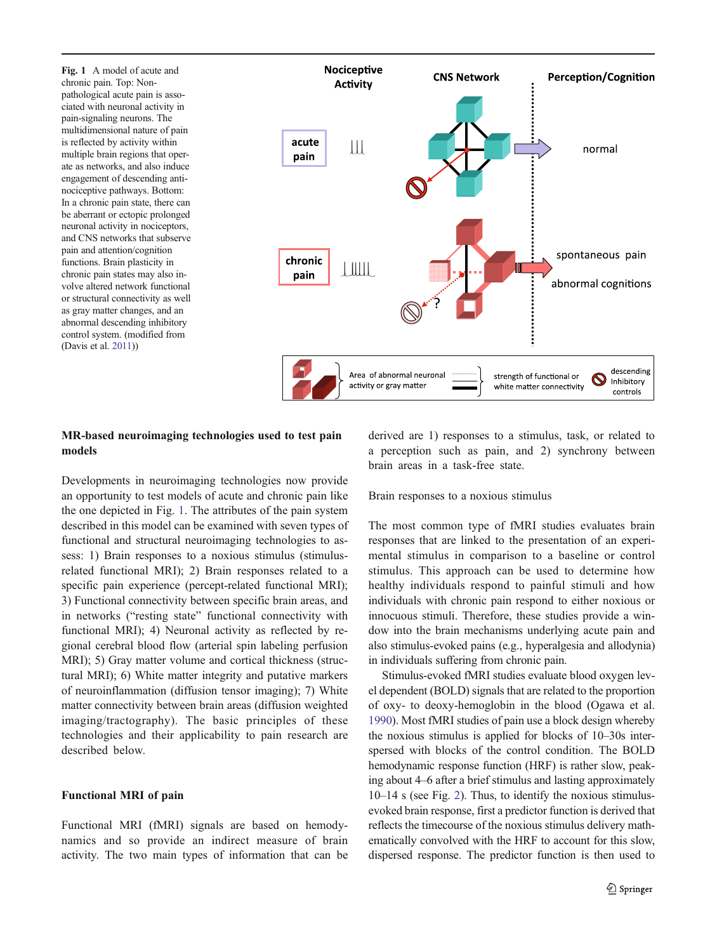<span id="page-2-0"></span>Fig. 1 A model of acute and chronic pain. Top: Nonpathological acute pain is associated with neuronal activity in pain-signaling neurons. The multidimensional nature of pain is reflected by activity within multiple brain regions that operate as networks, and also induce engagement of descending antinociceptive pathways. Bottom: In a chronic pain state, there can be aberrant or ectopic prolonged neuronal activity in nociceptors, and CNS networks that subserve pain and attention/cognition functions. Brain plasticity in chronic pain states may also involve altered network functional or structural connectivity as well as gray matter changes, and an abnormal descending inhibitory control system. (modified from (Davis et al. [2011](#page-13-0)))



## MR-based neuroimaging technologies used to test pain models

Developments in neuroimaging technologies now provide an opportunity to test models of acute and chronic pain like the one depicted in Fig. 1. The attributes of the pain system described in this model can be examined with seven types of functional and structural neuroimaging technologies to assess: 1) Brain responses to a noxious stimulus (stimulusrelated functional MRI); 2) Brain responses related to a specific pain experience (percept-related functional MRI); 3) Functional connectivity between specific brain areas, and in networks ("resting state" functional connectivity with functional MRI); 4) Neuronal activity as reflected by regional cerebral blood flow (arterial spin labeling perfusion MRI); 5) Gray matter volume and cortical thickness (structural MRI); 6) White matter integrity and putative markers of neuroinflammation (diffusion tensor imaging); 7) White matter connectivity between brain areas (diffusion weighted imaging/tractography). The basic principles of these technologies and their applicability to pain research are described below.

#### Functional MRI of pain

Functional MRI (fMRI) signals are based on hemodynamics and so provide an indirect measure of brain activity. The two main types of information that can be derived are 1) responses to a stimulus, task, or related to a perception such as pain, and 2) synchrony between brain areas in a task-free state.

Brain responses to a noxious stimulus

The most common type of fMRI studies evaluates brain responses that are linked to the presentation of an experimental stimulus in comparison to a baseline or control stimulus. This approach can be used to determine how healthy individuals respond to painful stimuli and how individuals with chronic pain respond to either noxious or innocuous stimuli. Therefore, these studies provide a window into the brain mechanisms underlying acute pain and also stimulus-evoked pains (e.g., hyperalgesia and allodynia) in individuals suffering from chronic pain.

Stimulus-evoked fMRI studies evaluate blood oxygen level dependent (BOLD) signals that are related to the proportion of oxy- to deoxy-hemoglobin in the blood (Ogawa et al. [1990\)](#page-15-0). Most fMRI studies of pain use a block design whereby the noxious stimulus is applied for blocks of 10–30s interspersed with blocks of the control condition. The BOLD hemodynamic response function (HRF) is rather slow, peaking about 4–6 after a brief stimulus and lasting approximately 10–14 s (see Fig. [2](#page-3-0)). Thus, to identify the noxious stimulusevoked brain response, first a predictor function is derived that reflects the timecourse of the noxious stimulus delivery mathematically convolved with the HRF to account for this slow, dispersed response. The predictor function is then used to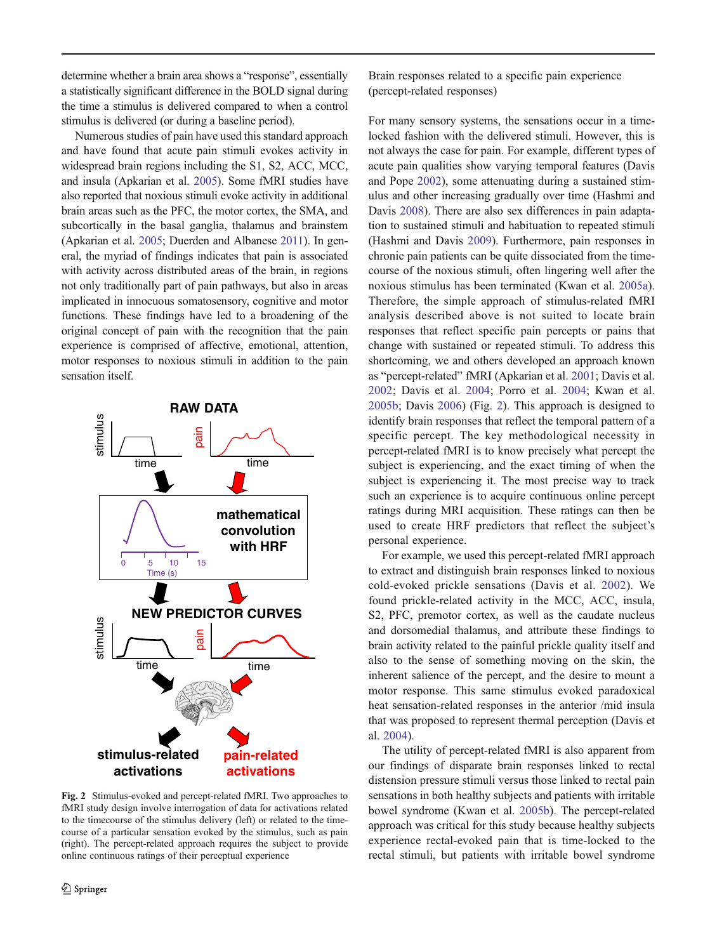<span id="page-3-0"></span>determine whether a brain area shows a "response", essentially a statistically significant difference in the BOLD signal during the time a stimulus is delivered compared to when a control stimulus is delivered (or during a baseline period).

Numerous studies of pain have used this standard approach and have found that acute pain stimuli evokes activity in widespread brain regions including the S1, S2, ACC, MCC, and insula (Apkarian et al. [2005\)](#page-12-0). Some fMRI studies have also reported that noxious stimuli evoke activity in additional brain areas such as the PFC, the motor cortex, the SMA, and subcortically in the basal ganglia, thalamus and brainstem (Apkarian et al. [2005;](#page-12-0) Duerden and Albanese [2011](#page-13-0)). In general, the myriad of findings indicates that pain is associated with activity across distributed areas of the brain, in regions not only traditionally part of pain pathways, but also in areas implicated in innocuous somatosensory, cognitive and motor functions. These findings have led to a broadening of the original concept of pain with the recognition that the pain experience is comprised of affective, emotional, attention, motor responses to noxious stimuli in addition to the pain sensation itself.



Fig. 2 Stimulus-evoked and percept-related fMRI. Two approaches to fMRI study design involve interrogation of data for activations related to the timecourse of the stimulus delivery (left) or related to the timecourse of a particular sensation evoked by the stimulus, such as pain (right). The percept-related approach requires the subject to provide online continuous ratings of their perceptual experience

Brain responses related to a specific pain experience (percept-related responses)

For many sensory systems, the sensations occur in a timelocked fashion with the delivered stimuli. However, this is not always the case for pain. For example, different types of acute pain qualities show varying temporal features (Davis and Pope [2002\)](#page-13-0), some attenuating during a sustained stimulus and other increasing gradually over time (Hashmi and Davis [2008](#page-14-0)). There are also sex differences in pain adaptation to sustained stimuli and habituation to repeated stimuli (Hashmi and Davis [2009\)](#page-14-0). Furthermore, pain responses in chronic pain patients can be quite dissociated from the timecourse of the noxious stimuli, often lingering well after the noxious stimulus has been terminated (Kwan et al. [2005a\)](#page-14-0). Therefore, the simple approach of stimulus-related fMRI analysis described above is not suited to locate brain responses that reflect specific pain percepts or pains that change with sustained or repeated stimuli. To address this shortcoming, we and others developed an approach known as "percept-related" fMRI (Apkarian et al. [2001;](#page-12-0) Davis et al. [2002](#page-13-0); Davis et al. [2004](#page-13-0); Porro et al. [2004](#page-15-0); Kwan et al. [2005b](#page-14-0); Davis [2006\)](#page-13-0) (Fig. 2). This approach is designed to identify brain responses that reflect the temporal pattern of a specific percept. The key methodological necessity in percept-related fMRI is to know precisely what percept the subject is experiencing, and the exact timing of when the subject is experiencing it. The most precise way to track such an experience is to acquire continuous online percept ratings during MRI acquisition. These ratings can then be used to create HRF predictors that reflect the subject's personal experience.

For example, we used this percept-related fMRI approach to extract and distinguish brain responses linked to noxious cold-evoked prickle sensations (Davis et al. [2002](#page-13-0)). We found prickle-related activity in the MCC, ACC, insula, S2, PFC, premotor cortex, as well as the caudate nucleus and dorsomedial thalamus, and attribute these findings to brain activity related to the painful prickle quality itself and also to the sense of something moving on the skin, the inherent salience of the percept, and the desire to mount a motor response. This same stimulus evoked paradoxical heat sensation-related responses in the anterior /mid insula that was proposed to represent thermal perception (Davis et al. [2004\)](#page-13-0).

The utility of percept-related fMRI is also apparent from our findings of disparate brain responses linked to rectal distension pressure stimuli versus those linked to rectal pain sensations in both healthy subjects and patients with irritable bowel syndrome (Kwan et al. [2005b\)](#page-14-0). The percept-related approach was critical for this study because healthy subjects experience rectal-evoked pain that is time-locked to the rectal stimuli, but patients with irritable bowel syndrome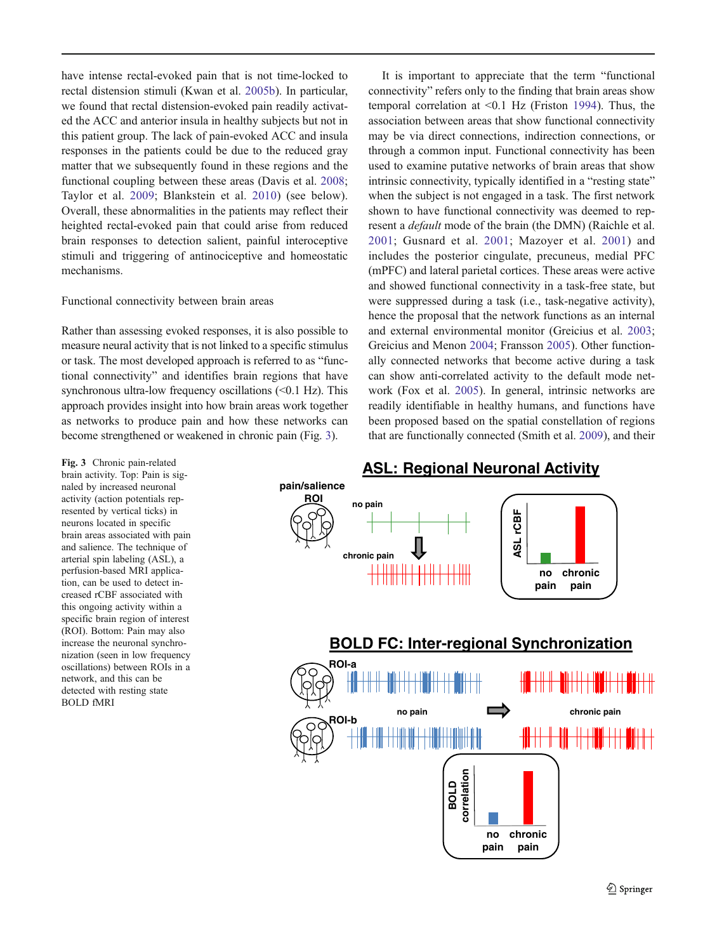<span id="page-4-0"></span>have intense rectal-evoked pain that is not time-locked to rectal distension stimuli (Kwan et al. [2005b\)](#page-14-0). In particular, we found that rectal distension-evoked pain readily activated the ACC and anterior insula in healthy subjects but not in this patient group. The lack of pain-evoked ACC and insula responses in the patients could be due to the reduced gray matter that we subsequently found in these regions and the functional coupling between these areas (Davis et al. [2008](#page-13-0); Taylor et al. [2009](#page-16-0); Blankstein et al. [2010](#page-12-0)) (see below). Overall, these abnormalities in the patients may reflect their heighted rectal-evoked pain that could arise from reduced brain responses to detection salient, painful interoceptive stimuli and triggering of antinociceptive and homeostatic mechanisms.

#### Functional connectivity between brain areas

Rather than assessing evoked responses, it is also possible to measure neural activity that is not linked to a specific stimulus or task. The most developed approach is referred to as "functional connectivity" and identifies brain regions that have synchronous ultra-low frequency oscillations (<0.1 Hz). This approach provides insight into how brain areas work together as networks to produce pain and how these networks can become strengthened or weakened in chronic pain (Fig. 3).

It is important to appreciate that the term "functional connectivity" refers only to the finding that brain areas show temporal correlation at <0.1 Hz (Friston [1994](#page-14-0)). Thus, the association between areas that show functional connectivity may be via direct connections, indirection connections, or through a common input. Functional connectivity has been used to examine putative networks of brain areas that show intrinsic connectivity, typically identified in a "resting state" when the subject is not engaged in a task. The first network shown to have functional connectivity was deemed to represent a default mode of the brain (the DMN) (Raichle et al. [2001](#page-15-0); Gusnard et al. [2001](#page-14-0); Mazoyer et al. [2001](#page-14-0)) and includes the posterior cingulate, precuneus, medial PFC (mPFC) and lateral parietal cortices. These areas were active and showed functional connectivity in a task-free state, but were suppressed during a task (i.e., task-negative activity), hence the proposal that the network functions as an internal and external environmental monitor (Greicius et al. [2003;](#page-14-0) Greicius and Menon [2004](#page-14-0); Fransson [2005](#page-14-0)). Other functionally connected networks that become active during a task can show anti-correlated activity to the default mode network (Fox et al. [2005](#page-14-0)). In general, intrinsic networks are readily identifiable in healthy humans, and functions have been proposed based on the spatial constellation of regions that are functionally connected (Smith et al. [2009](#page-15-0)), and their

Fig. 3 Chronic pain-related brain activity. Top: Pain is signaled by increased neuronal activity (action potentials represented by vertical ticks) in neurons located in specific brain areas associated with pain and salience. The technique of arterial spin labeling (ASL), a perfusion-based MRI application, can be used to detect increased rCBF associated with this ongoing activity within a specific brain region of interest (ROI). Bottom: Pain may also increase the neuronal synchronization (seen in low frequency oscillations) between ROIs in a network, and this can be detected with resting state BOLD fMRI

## **ASL: Regional Neuronal Activity**

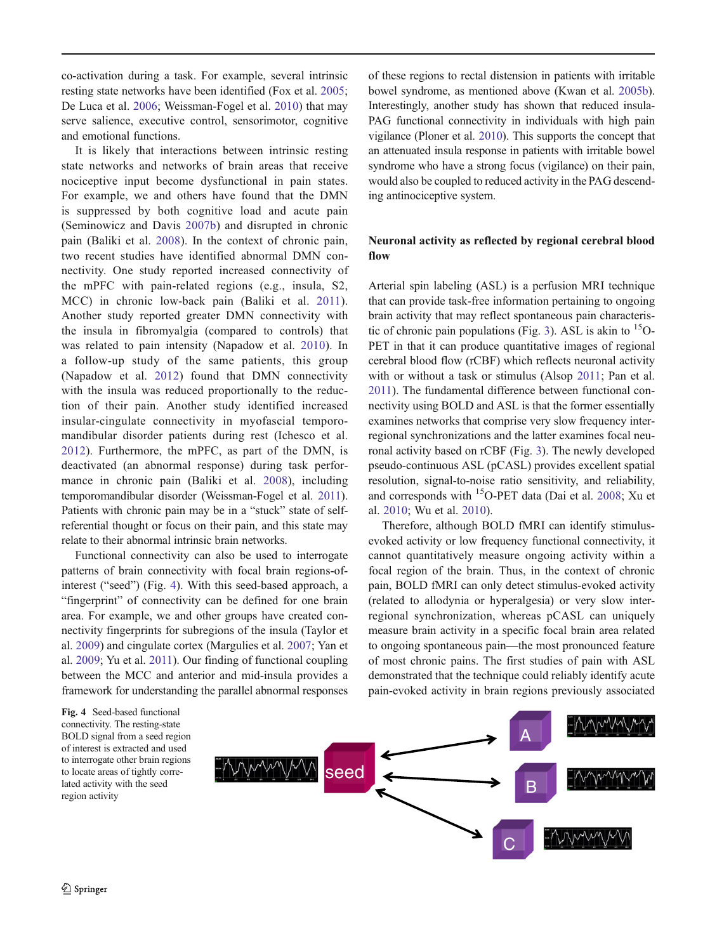co-activation during a task. For example, several intrinsic resting state networks have been identified (Fox et al. [2005](#page-14-0); De Luca et al. [2006;](#page-13-0) Weissman-Fogel et al. [2010](#page-16-0)) that may serve salience, executive control, sensorimotor, cognitive and emotional functions.

It is likely that interactions between intrinsic resting state networks and networks of brain areas that receive nociceptive input become dysfunctional in pain states. For example, we and others have found that the DMN is suppressed by both cognitive load and acute pain (Seminowicz and Davis [2007b\)](#page-15-0) and disrupted in chronic pain (Baliki et al. [2008](#page-12-0)). In the context of chronic pain, two recent studies have identified abnormal DMN connectivity. One study reported increased connectivity of the mPFC with pain-related regions (e.g., insula, S2, MCC) in chronic low-back pain (Baliki et al. [2011](#page-12-0)). Another study reported greater DMN connectivity with the insula in fibromyalgia (compared to controls) that was related to pain intensity (Napadow et al. [2010](#page-15-0)). In a follow-up study of the same patients, this group (Napadow et al. [2012\)](#page-15-0) found that DMN connectivity with the insula was reduced proportionally to the reduction of their pain. Another study identified increased insular-cingulate connectivity in myofascial temporomandibular disorder patients during rest (Ichesco et al. [2012](#page-14-0)). Furthermore, the mPFC, as part of the DMN, is deactivated (an abnormal response) during task performance in chronic pain (Baliki et al. [2008](#page-12-0)), including temporomandibular disorder (Weissman-Fogel et al. [2011\)](#page-16-0). Patients with chronic pain may be in a "stuck" state of selfreferential thought or focus on their pain, and this state may relate to their abnormal intrinsic brain networks.

Functional connectivity can also be used to interrogate patterns of brain connectivity with focal brain regions-ofinterest ("seed") (Fig. 4). With this seed-based approach, a "fingerprint" of connectivity can be defined for one brain area. For example, we and other groups have created connectivity fingerprints for subregions of the insula (Taylor et al. [2009](#page-16-0)) and cingulate cortex (Margulies et al. [2007;](#page-14-0) Yan et al. [2009](#page-16-0); Yu et al. [2011\)](#page-16-0). Our finding of functional coupling between the MCC and anterior and mid-insula provides a framework for understanding the parallel abnormal responses of these regions to rectal distension in patients with irritable bowel syndrome, as mentioned above (Kwan et al. [2005b\)](#page-14-0). Interestingly, another study has shown that reduced insula-PAG functional connectivity in individuals with high pain vigilance (Ploner et al. [2010](#page-15-0)). This supports the concept that an attenuated insula response in patients with irritable bowel syndrome who have a strong focus (vigilance) on their pain, would also be coupled to reduced activity in the PAG descending antinociceptive system.

## Neuronal activity as reflected by regional cerebral blood flow

Arterial spin labeling (ASL) is a perfusion MRI technique that can provide task-free information pertaining to ongoing brain activity that may reflect spontaneous pain characteris-tic of chronic pain populations (Fig. [3](#page-4-0)). ASL is akin to  $^{15}O-$ PET in that it can produce quantitative images of regional cerebral blood flow (rCBF) which reflects neuronal activity with or without a task or stimulus (Alsop [2011](#page-12-0); Pan et al. [2011\)](#page-15-0). The fundamental difference between functional connectivity using BOLD and ASL is that the former essentially examines networks that comprise very slow frequency interregional synchronizations and the latter examines focal neuronal activity based on rCBF (Fig. [3](#page-4-0)). The newly developed pseudo-continuous ASL (pCASL) provides excellent spatial resolution, signal-to-noise ratio sensitivity, and reliability, and corresponds with  $^{15}$ O-PET data (Dai et al. [2008](#page-13-0); Xu et al. [2010;](#page-16-0) Wu et al. [2010\)](#page-16-0).

Therefore, although BOLD fMRI can identify stimulusevoked activity or low frequency functional connectivity, it cannot quantitatively measure ongoing activity within a focal region of the brain. Thus, in the context of chronic pain, BOLD fMRI can only detect stimulus-evoked activity (related to allodynia or hyperalgesia) or very slow interregional synchronization, whereas pCASL can uniquely measure brain activity in a specific focal brain area related to ongoing spontaneous pain—the most pronounced feature of most chronic pains. The first studies of pain with ASL demonstrated that the technique could reliably identify acute pain-evoked activity in brain regions previously associated

Fig. 4 Seed-based functional connectivity. The resting-state BOLD signal from a seed region of interest is extracted and used to interrogate other brain regions to locate areas of tightly correlated activity with the seed region activity

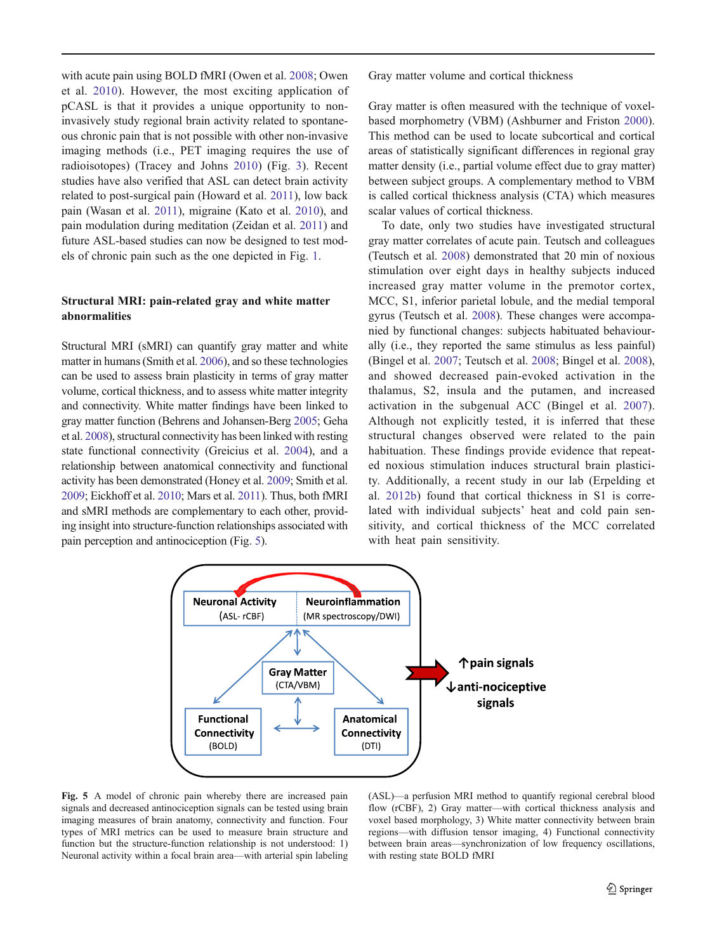with acute pain using BOLD fMRI (Owen et al. [2008;](#page-15-0) Owen et al. [2010\)](#page-15-0). However, the most exciting application of pCASL is that it provides a unique opportunity to noninvasively study regional brain activity related to spontaneous chronic pain that is not possible with other non-invasive imaging methods (i.e., PET imaging requires the use of radioisotopes) (Tracey and Johns [2010](#page-16-0)) (Fig. [3\)](#page-4-0). Recent studies have also verified that ASL can detect brain activity related to post-surgical pain (Howard et al. [2011](#page-14-0)), low back pain (Wasan et al. [2011\)](#page-16-0), migraine (Kato et al. [2010](#page-14-0)), and pain modulation during meditation (Zeidan et al. [2011\)](#page-16-0) and future ASL-based studies can now be designed to test models of chronic pain such as the one depicted in Fig. [1](#page-2-0).

## Structural MRI: pain-related gray and white matter abnormalities

Structural MRI (sMRI) can quantify gray matter and white matter in humans (Smith et al. [2006](#page-15-0)), and so these technologies can be used to assess brain plasticity in terms of gray matter volume, cortical thickness, and to assess white matter integrity and connectivity. White matter findings have been linked to gray matter function (Behrens and Johansen-Berg [2005;](#page-12-0) Geha et al. [2008](#page-14-0)), structural connectivity has been linked with resting state functional connectivity (Greicius et al. [2004](#page-14-0)), and a relationship between anatomical connectivity and functional activity has been demonstrated (Honey et al. [2009](#page-14-0); Smith et al. [2009](#page-15-0); Eickhoff et al. [2010](#page-13-0); Mars et al. [2011\)](#page-14-0). Thus, both fMRI and sMRI methods are complementary to each other, providing insight into structure-function relationships associated with pain perception and antinociception (Fig. 5).

Gray matter volume and cortical thickness

Gray matter is often measured with the technique of voxelbased morphometry (VBM) (Ashburner and Friston [2000\)](#page-12-0). This method can be used to locate subcortical and cortical areas of statistically significant differences in regional gray matter density (i.e., partial volume effect due to gray matter) between subject groups. A complementary method to VBM is called cortical thickness analysis (CTA) which measures scalar values of cortical thickness.

To date, only two studies have investigated structural gray matter correlates of acute pain. Teutsch and colleagues (Teutsch et al. [2008](#page-16-0)) demonstrated that 20 min of noxious stimulation over eight days in healthy subjects induced increased gray matter volume in the premotor cortex, MCC, S1, inferior parietal lobule, and the medial temporal gyrus (Teutsch et al. [2008](#page-16-0)). These changes were accompanied by functional changes: subjects habituated behaviourally (i.e., they reported the same stimulus as less painful) (Bingel et al. [2007;](#page-12-0) Teutsch et al. [2008;](#page-16-0) Bingel et al. [2008\)](#page-12-0), and showed decreased pain-evoked activation in the thalamus, S2, insula and the putamen, and increased activation in the subgenual ACC (Bingel et al. [2007](#page-12-0)). Although not explicitly tested, it is inferred that these structural changes observed were related to the pain habituation. These findings provide evidence that repeated noxious stimulation induces structural brain plasticity. Additionally, a recent study in our lab (Erpelding et al. [2012b](#page-13-0)) found that cortical thickness in S1 is correlated with individual subjects' heat and cold pain sensitivity, and cortical thickness of the MCC correlated with heat pain sensitivity.



Fig. 5 A model of chronic pain whereby there are increased pain signals and decreased antinociception signals can be tested using brain imaging measures of brain anatomy, connectivity and function. Four types of MRI metrics can be used to measure brain structure and function but the structure-function relationship is not understood: 1) Neuronal activity within a focal brain area—with arterial spin labeling

(ASL)—a perfusion MRI method to quantify regional cerebral blood flow (rCBF), 2) Gray matter—with cortical thickness analysis and voxel based morphology, 3) White matter connectivity between brain regions—with diffusion tensor imaging, 4) Functional connectivity between brain areas—synchronization of low frequency oscillations, with resting state BOLD fMRI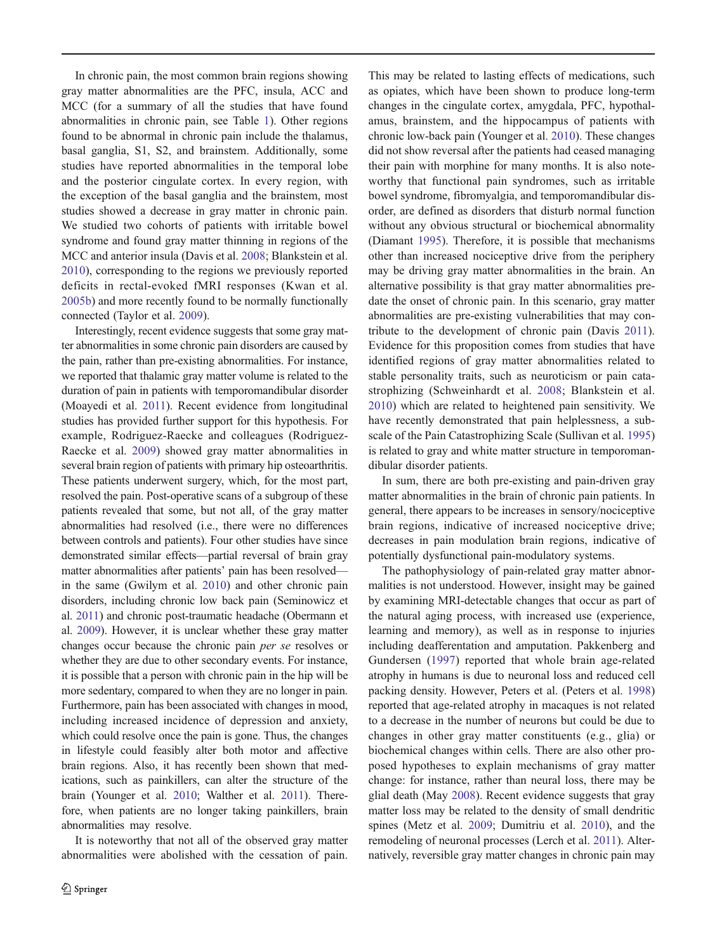In chronic pain, the most common brain regions showing gray matter abnormalities are the PFC, insula, ACC and MCC (for a summary of all the studies that have found abnormalities in chronic pain, see Table [1](#page-8-0)). Other regions found to be abnormal in chronic pain include the thalamus, basal ganglia, S1, S2, and brainstem. Additionally, some studies have reported abnormalities in the temporal lobe and the posterior cingulate cortex. In every region, with the exception of the basal ganglia and the brainstem, most studies showed a decrease in gray matter in chronic pain. We studied two cohorts of patients with irritable bowel syndrome and found gray matter thinning in regions of the MCC and anterior insula (Davis et al. [2008;](#page-13-0) Blankstein et al. [2010\)](#page-12-0), corresponding to the regions we previously reported deficits in rectal-evoked fMRI responses (Kwan et al. [2005b\)](#page-14-0) and more recently found to be normally functionally connected (Taylor et al. [2009\)](#page-16-0).

Interestingly, recent evidence suggests that some gray matter abnormalities in some chronic pain disorders are caused by the pain, rather than pre-existing abnormalities. For instance, we reported that thalamic gray matter volume is related to the duration of pain in patients with temporomandibular disorder (Moayedi et al. [2011\)](#page-15-0). Recent evidence from longitudinal studies has provided further support for this hypothesis. For example, Rodriguez-Raecke and colleagues (Rodriguez-Raecke et al. [2009\)](#page-15-0) showed gray matter abnormalities in several brain region of patients with primary hip osteoarthritis. These patients underwent surgery, which, for the most part, resolved the pain. Post-operative scans of a subgroup of these patients revealed that some, but not all, of the gray matter abnormalities had resolved (i.e., there were no differences between controls and patients). Four other studies have since demonstrated similar effects—partial reversal of brain gray matter abnormalities after patients' pain has been resolved in the same (Gwilym et al. [2010](#page-14-0)) and other chronic pain disorders, including chronic low back pain (Seminowicz et al. [2011\)](#page-15-0) and chronic post-traumatic headache (Obermann et al. [2009\)](#page-15-0). However, it is unclear whether these gray matter changes occur because the chronic pain per se resolves or whether they are due to other secondary events. For instance, it is possible that a person with chronic pain in the hip will be more sedentary, compared to when they are no longer in pain. Furthermore, pain has been associated with changes in mood, including increased incidence of depression and anxiety, which could resolve once the pain is gone. Thus, the changes in lifestyle could feasibly alter both motor and affective brain regions. Also, it has recently been shown that medications, such as painkillers, can alter the structure of the brain (Younger et al. [2010;](#page-16-0) Walther et al. [2011\)](#page-16-0). Therefore, when patients are no longer taking painkillers, brain abnormalities may resolve.

It is noteworthy that not all of the observed gray matter abnormalities were abolished with the cessation of pain.

This may be related to lasting effects of medications, such as opiates, which have been shown to produce long-term changes in the cingulate cortex, amygdala, PFC, hypothalamus, brainstem, and the hippocampus of patients with chronic low-back pain (Younger et al. [2010](#page-16-0)). These changes did not show reversal after the patients had ceased managing their pain with morphine for many months. It is also noteworthy that functional pain syndromes, such as irritable bowel syndrome, fibromyalgia, and temporomandibular disorder, are defined as disorders that disturb normal function without any obvious structural or biochemical abnormality (Diamant [1995](#page-13-0)). Therefore, it is possible that mechanisms other than increased nociceptive drive from the periphery may be driving gray matter abnormalities in the brain. An alternative possibility is that gray matter abnormalities predate the onset of chronic pain. In this scenario, gray matter abnormalities are pre-existing vulnerabilities that may contribute to the development of chronic pain (Davis [2011\)](#page-13-0). Evidence for this proposition comes from studies that have identified regions of gray matter abnormalities related to stable personality traits, such as neuroticism or pain catastrophizing (Schweinhardt et al. [2008](#page-15-0); Blankstein et al. [2010](#page-12-0)) which are related to heightened pain sensitivity. We have recently demonstrated that pain helplessness, a subscale of the Pain Catastrophizing Scale (Sullivan et al. [1995](#page-16-0)) is related to gray and white matter structure in temporomandibular disorder patients.

In sum, there are both pre-existing and pain-driven gray matter abnormalities in the brain of chronic pain patients. In general, there appears to be increases in sensory/nociceptive brain regions, indicative of increased nociceptive drive; decreases in pain modulation brain regions, indicative of potentially dysfunctional pain-modulatory systems.

The pathophysiology of pain-related gray matter abnormalities is not understood. However, insight may be gained by examining MRI-detectable changes that occur as part of the natural aging process, with increased use (experience, learning and memory), as well as in response to injuries including deafferentation and amputation. Pakkenberg and Gundersen ([1997](#page-15-0)) reported that whole brain age-related atrophy in humans is due to neuronal loss and reduced cell packing density. However, Peters et al. (Peters et al. [1998](#page-15-0)) reported that age-related atrophy in macaques is not related to a decrease in the number of neurons but could be due to changes in other gray matter constituents (e.g., glia) or biochemical changes within cells. There are also other proposed hypotheses to explain mechanisms of gray matter change: for instance, rather than neural loss, there may be glial death (May [2008](#page-14-0)). Recent evidence suggests that gray matter loss may be related to the density of small dendritic spines (Metz et al. [2009](#page-14-0); Dumitriu et al. [2010](#page-13-0)), and the remodeling of neuronal processes (Lerch et al. [2011\)](#page-14-0). Alternatively, reversible gray matter changes in chronic pain may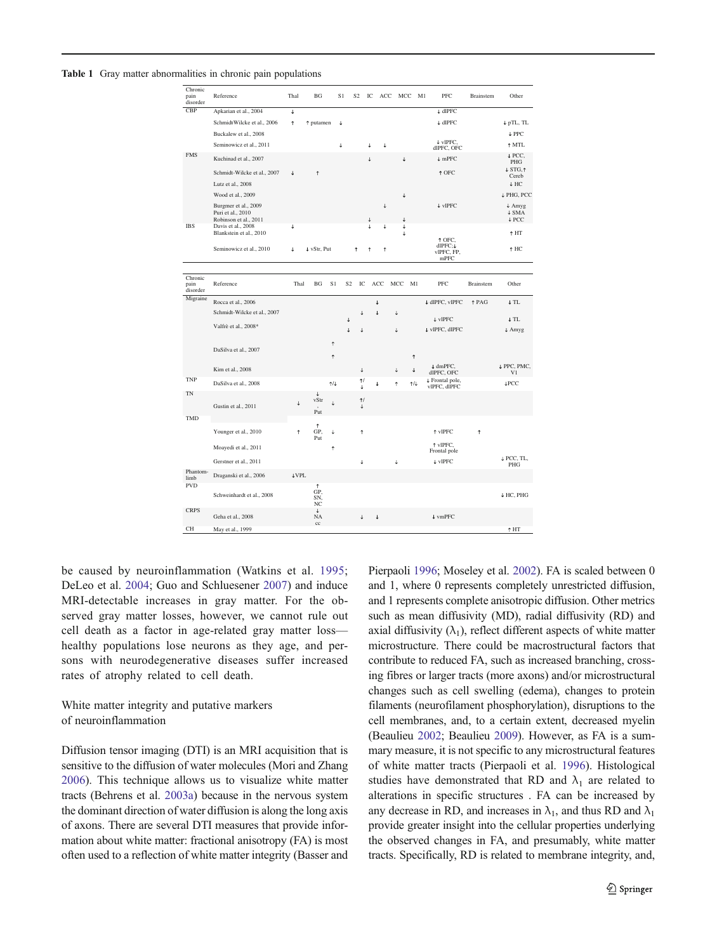<span id="page-8-0"></span>

|  | Table 1 Gray matter abnormalities in chronic pain populations |  |  |
|--|---------------------------------------------------------------|--|--|
|  |                                                               |  |  |

| Chronic<br>pain<br>disorder | Reference                                                          | Thal         | <b>BG</b>                         |                       | S1             | S <sub>2</sub>    | IC           | ACC          |              | MCC                   | M1 | PFC                                     | <b>Brainstem</b> | Other                               |
|-----------------------------|--------------------------------------------------------------------|--------------|-----------------------------------|-----------------------|----------------|-------------------|--------------|--------------|--------------|-----------------------|----|-----------------------------------------|------------------|-------------------------------------|
| CBP                         | Apkarian et al., 2004                                              | $\downarrow$ |                                   |                       |                |                   |              |              |              |                       |    | $\downarrow$ dlPFC                      |                  |                                     |
|                             | Schmidt-Wilcke et al., 2006                                        | $\uparrow$   | t putamen                         | $\downarrow$          |                |                   |              |              |              |                       |    | ↓ dlPFC                                 |                  | ↓ pTL, TL                           |
|                             | Buckalew et al., 2008                                              |              |                                   |                       |                |                   |              |              |              |                       |    |                                         |                  | $\downarrow$ PPC                    |
|                             | Seminowicz et al., 2011                                            |              |                                   | $\downarrow$          |                |                   | J.           | J            |              |                       |    | ↓ vlPFC,<br>dlPFC, OFC                  |                  | ↑ MTL                               |
| <b>FMS</b>                  | Kuchinad et al., 2007                                              |              |                                   |                       |                |                   | $\downarrow$ |              |              | ¢.                    |    | $\downarrow$ mPFC                       |                  | ↓ PCC,<br>PHG                       |
|                             | Schmidt-Wilcke et al., 2007                                        | ↓            | $\uparrow$                        |                       |                |                   |              |              |              |                       |    | t OFC                                   |                  | $4STG, \uparrow$<br>Cereb           |
|                             | Lutz et al., 2008                                                  |              |                                   |                       |                |                   |              |              |              |                       |    |                                         |                  | $\downarrow$ HC                     |
|                             | Wood et al., 2009                                                  |              |                                   |                       |                |                   |              |              |              | t                     |    |                                         |                  | ↓ PHG, PCC                          |
|                             | Burgmer et al., 2009<br>Puri et al., 2010<br>Robinson et al., 2011 |              |                                   |                       |                |                   | ¢            | t            |              | ↓                     |    | $\downarrow$ vlPFC                      |                  | ↓ Amyg<br>↓ SMA<br>$\downarrow$ PCC |
| <b>IBS</b>                  | Davis et al., 2008<br>Blankstein et al., 2010                      | t            |                                   |                       |                |                   | J            | ↓            |              | t<br>t                |    |                                         |                  | † HT                                |
|                             | Seminowicz et al., 2010                                            | t            | $\downarrow$ vStr, Put            |                       |                | ↑                 | ↑            | ↑            |              |                       |    | ↑ OFC,<br>dlPFC;↓<br>vIPFC, FP.<br>mPFC |                  | † H <sub>C</sub>                    |
|                             |                                                                    |              |                                   |                       |                |                   |              |              |              |                       |    |                                         |                  |                                     |
| Chronic<br>pain<br>disorder | Reference                                                          | Thal         | BG                                | S1                    | S <sub>2</sub> | IC                |              | ACC          | MCC          | M1                    |    | PFC                                     | Brainstem        | Other                               |
| Migraine                    | Rocca et al., 2006                                                 |              |                                   |                       |                |                   |              | $\downarrow$ |              |                       |    | ↓ dlPFC, vlPFC                          | ↑ PAG            | $+TL$                               |
|                             | Schmidt-Wilcke et al., 2007                                        |              |                                   |                       |                | ↓                 |              | ↓            | ↓            |                       |    |                                         |                  |                                     |
|                             | Valfrè et al., 2008*                                               |              |                                   |                       | Φ              |                   |              |              |              |                       |    | $\downarrow$ vlPFC                      |                  | $\downarrow$ TL                     |
|                             |                                                                    |              |                                   |                       | J.             | J                 |              |              | J.           |                       |    | ↓ vlPFC, dlPFC                          |                  | ↓ Amyg                              |
|                             | DaSilva et al., 2007                                               |              |                                   | $\uparrow$            |                |                   |              |              |              |                       |    |                                         |                  |                                     |
|                             |                                                                    |              |                                   | $\uparrow$            |                |                   |              |              |              | ↑                     |    |                                         |                  |                                     |
|                             | Kim et al., 2008                                                   |              |                                   |                       |                | Ť.                |              |              | $\downarrow$ | $\downarrow$          |    | $\downarrow$ dmPFC,<br>dlPFC, OFC       |                  | ↓ PPC, PMC,<br>V <sub>1</sub>       |
| <b>TNP</b>                  | DaSilva et al., 2008                                               |              |                                   | $\uparrow/\downarrow$ |                | 11<br>J           |              | $\downarrow$ | $\uparrow$   | $\uparrow/\downarrow$ |    | ↓ Frontal pole,<br>vIPFC, dIPFC         |                  | <b>+PCC</b>                         |
| <b>TN</b>                   |                                                                    |              | $\downarrow$                      |                       |                |                   |              |              |              |                       |    |                                         |                  |                                     |
|                             | Gustin et al., 2011                                                | $\downarrow$ | vStr                              | J.                    |                | $\uparrow$ /<br>↓ |              |              |              |                       |    |                                         |                  |                                     |
| <b>TMD</b>                  |                                                                    |              | Put                               |                       |                |                   |              |              |              |                       |    |                                         |                  |                                     |
|                             | Younger et al., 2010                                               | $\uparrow$   | $\uparrow$<br>GP,<br>Put          | t                     |                | ↑                 |              |              |              |                       |    | ↑ vlPFC                                 | $^\uparrow$      |                                     |
|                             | Moayedi et al., 2011                                               |              |                                   | ↑                     |                |                   |              |              |              |                       |    | ↑ vIPFC.<br>Frontal pole                |                  |                                     |
|                             | Gerstner et al., 2011                                              |              |                                   |                       |                | J.                |              |              | t            |                       |    | $\downarrow$ vlPFC                      |                  | ↓ PCC, TL,<br><b>PHG</b>            |
| Phantom-<br>limb            | Draganski et al., 2006                                             | <b>↓VPL</b>  |                                   |                       |                |                   |              |              |              |                       |    |                                         |                  |                                     |
| <b>PVD</b>                  | Schweinhardt et al., 2008                                          |              | Ť.<br>GP.<br>SN.<br>NC            |                       |                |                   |              |              |              |                       |    |                                         |                  | $\downarrow$ HC, PHG                |
| <b>CRPS</b>                 | Geha et al., 2008                                                  |              | $\downarrow$<br>NA<br>$_{\rm cc}$ |                       |                | ↓                 |              | ↓            |              |                       |    | $\downarrow$ vmPFC                      |                  |                                     |
| <b>CH</b>                   | May et al., 1999                                                   |              |                                   |                       |                |                   |              |              |              |                       |    |                                         |                  | ↑ HT                                |

be caused by neuroinflammation (Watkins et al. [1995](#page-16-0); DeLeo et al. [2004](#page-13-0); Guo and Schluesener [2007\)](#page-14-0) and induce MRI-detectable increases in gray matter. For the observed gray matter losses, however, we cannot rule out cell death as a factor in age-related gray matter loss healthy populations lose neurons as they age, and persons with neurodegenerative diseases suffer increased rates of atrophy related to cell death.

## White matter integrity and putative markers of neuroinflammation

Diffusion tensor imaging (DTI) is an MRI acquisition that is sensitive to the diffusion of water molecules (Mori and Zhang [2006\)](#page-15-0). This technique allows us to visualize white matter tracts (Behrens et al. [2003a\)](#page-12-0) because in the nervous system the dominant direction of water diffusion is along the long axis of axons. There are several DTI measures that provide information about white matter: fractional anisotropy (FA) is most often used to a reflection of white matter integrity (Basser and Pierpaoli [1996](#page-12-0); Moseley et al. [2002\)](#page-15-0). FA is scaled between 0 and 1, where 0 represents completely unrestricted diffusion, and 1 represents complete anisotropic diffusion. Other metrics such as mean diffusivity (MD), radial diffusivity (RD) and axial diffusivity  $(\lambda_1)$ , reflect different aspects of white matter microstructure. There could be macrostructural factors that contribute to reduced FA, such as increased branching, crossing fibres or larger tracts (more axons) and/or microstructural changes such as cell swelling (edema), changes to protein filaments (neurofilament phosphorylation), disruptions to the cell membranes, and, to a certain extent, decreased myelin (Beaulieu [2002;](#page-12-0) Beaulieu [2009](#page-12-0)). However, as FA is a summary measure, it is not specific to any microstructural features of white matter tracts (Pierpaoli et al. [1996](#page-15-0)). Histological studies have demonstrated that RD and  $\lambda_1$  are related to alterations in specific structures . FA can be increased by any decrease in RD, and increases in  $\lambda_1$ , and thus RD and  $\lambda_1$ provide greater insight into the cellular properties underlying the observed changes in FA, and presumably, white matter tracts. Specifically, RD is related to membrane integrity, and,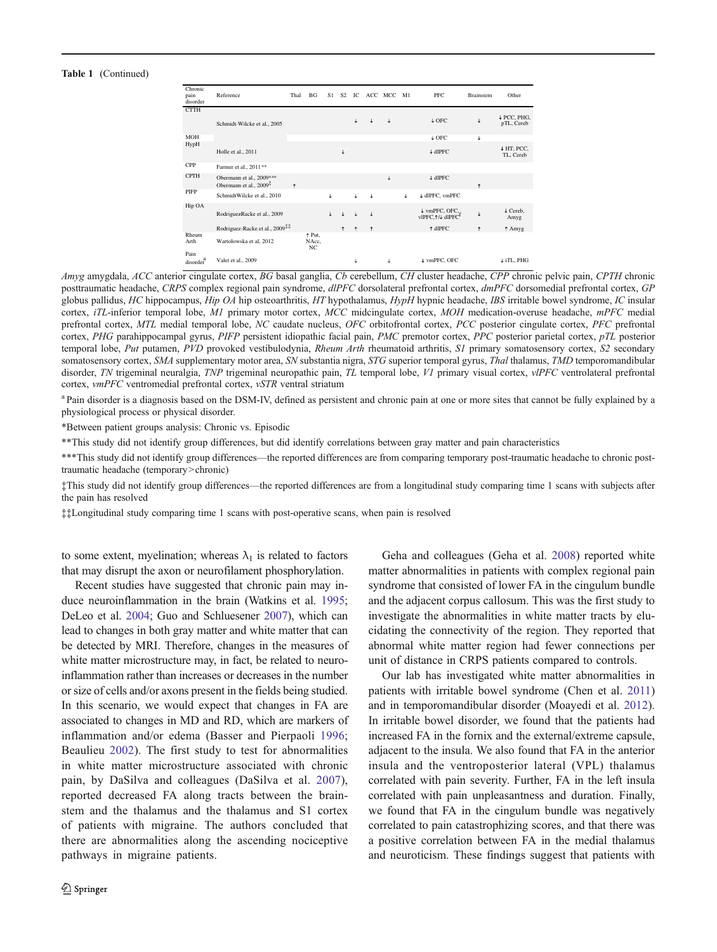#### Table 1 (Continued)

| Chronic<br>pain<br>disorder   | Reference                                                      | Thal       | <b>BG</b>             | S1 | S <sub>2</sub> |    |              | IC ACC MCC M1 |    | <b>PFC</b>                                     | Brainstem | Other                     |
|-------------------------------|----------------------------------------------------------------|------------|-----------------------|----|----------------|----|--------------|---------------|----|------------------------------------------------|-----------|---------------------------|
| <b>CTTH</b>                   | Schmidt-Wilcke et al., 2005                                    |            |                       |    |                | t  | J            | $\downarrow$  |    | $\downarrow$ OFC                               | ι         | ↓ PCC, PHG,<br>pTL, Cereb |
| <b>MOH</b>                    |                                                                |            |                       |    |                |    |              |               |    | $\downarrow$ OFC                               | ¢         |                           |
| HypH                          | Holle et al., 2011                                             |            |                       |    | $\downarrow$   |    |              |               |    | + dlPFC                                        |           | ↓ HT, PCC,<br>TL, Cereb   |
| <b>CPP</b>                    | Farmer et al., 2011 **                                         |            |                       |    |                |    |              |               |    |                                                |           |                           |
| <b>CPTH</b>                   | Obermann et al., 2009***<br>Obermann et al., 2009 <sup>‡</sup> | $\uparrow$ |                       |    |                |    |              | J             |    | $\downarrow$ dlPFC                             | ↑         |                           |
| PIFP                          | SchmidtWilcke et al., 2010                                     |            |                       | T  |                | d. | $\mathbf{L}$ |               | t. | ↓ dlPFC, vmPFC                                 |           |                           |
| Hip OA                        | RodriguezRacke et al., 2009                                    |            |                       | J  |                | J  | J            |               |    | ↓ vmPFC, OFC,<br>vIPFC, 1/4 dIPFC <sup>t</sup> | ↓         | ↓ Cereb,<br>Amyg          |
|                               | Rodriguez-Racke et al., 2009 <sup>##</sup>                     |            |                       |    | $\uparrow$     |    | $\uparrow$   |               |    | 1 dlPFC                                        | ↑         | ↑ Amyg                    |
| Rheum<br>Arth                 | Wartolowska et al, 2012                                        |            | ↑ Put,<br>NAcc,<br>NC |    |                |    |              |               |    |                                                |           |                           |
| Pain<br>disorder <sup>a</sup> | Valet et al., 2009                                             |            |                       |    |                | ı  |              | ↓             |    | $\downarrow$ vmPFC, OFC                        |           | ↓ iTL, PHG                |

Amyg amygdala, ACC anterior cingulate cortex, BG basal ganglia, Cb cerebellum, CH cluster headache, CPP chronic pelvic pain, CPTH chronic posttraumatic headache, CRPS complex regional pain syndrome, dlPFC dorsolateral prefrontal cortex, dmPFC dorsomedial prefrontal cortex, GP globus pallidus, HC hippocampus, Hip OA hip osteoarthritis, HT hypothalamus, HypH hypnic headache, IBS irritable bowel syndrome, IC insular cortex, iTL-inferior temporal lobe, M1 primary motor cortex, MCC midcingulate cortex, MOH medication-overuse headache, mPFC medial prefrontal cortex, MTL medial temporal lobe, NC caudate nucleus, OFC orbitofrontal cortex, PCC posterior cingulate cortex, PFC prefrontal cortex, PHG parahippocampal gyrus, PIFP persistent idiopathic facial pain, PMC premotor cortex, PPC posterior parietal cortex, pTL posterior temporal lobe, Put putamen, PVD provoked vestibulodynia, Rheum Arth rheumatoid arthritis, S1 primary somatosensory cortex, S2 secondary somatosensory cortex, SMA supplementary motor area, SN substantia nigra, STG superior temporal gyrus, Thal thalamus, TMD temporomandibular disorder, TN trigeminal neuralgia, TNP trigeminal neuropathic pain, TL temporal lobe, V1 primary visual cortex, vlPFC ventrolateral prefrontal cortex, vmPFC ventromedial prefrontal cortex, vSTR ventral striatum

<sup>a</sup> Pain disorder is a diagnosis based on the DSM-IV, defined as persistent and chronic pain at one or more sites that cannot be fully explained by a physiological process or physical disorder.

\*Between patient groups analysis: Chronic vs. Episodic

\*\*This study did not identify group differences, but did identify correlations between gray matter and pain characteristics

\*\*\*This study did not identify group differences—the reported differences are from comparing temporary post-traumatic headache to chronic posttraumatic headache (temporary>chronic)

‡This study did not identify group differences—the reported differences are from a longitudinal study comparing time 1 scans with subjects after the pain has resolved

‡‡Longitudinal study comparing time 1 scans with post-operative scans, when pain is resolved

to some extent, myelination; whereas  $\lambda_1$  is related to factors that may disrupt the axon or neurofilament phosphorylation.

Recent studies have suggested that chronic pain may induce neuroinflammation in the brain (Watkins et al. [1995](#page-16-0); DeLeo et al. [2004](#page-13-0); Guo and Schluesener [2007\)](#page-14-0), which can lead to changes in both gray matter and white matter that can be detected by MRI. Therefore, changes in the measures of white matter microstructure may, in fact, be related to neuroinflammation rather than increases or decreases in the number or size of cells and/or axons present in the fields being studied. In this scenario, we would expect that changes in FA are associated to changes in MD and RD, which are markers of inflammation and/or edema (Basser and Pierpaoli [1996](#page-12-0); Beaulieu [2002\)](#page-12-0). The first study to test for abnormalities in white matter microstructure associated with chronic pain, by DaSilva and colleagues (DaSilva et al. [2007](#page-13-0)), reported decreased FA along tracts between the brainstem and the thalamus and the thalamus and S1 cortex of patients with migraine. The authors concluded that there are abnormalities along the ascending nociceptive pathways in migraine patients.

Geha and colleagues (Geha et al. [2008](#page-14-0)) reported white matter abnormalities in patients with complex regional pain syndrome that consisted of lower FA in the cingulum bundle and the adjacent corpus callosum. This was the first study to investigate the abnormalities in white matter tracts by elucidating the connectivity of the region. They reported that abnormal white matter region had fewer connections per unit of distance in CRPS patients compared to controls.

Our lab has investigated white matter abnormalities in patients with irritable bowel syndrome (Chen et al. [2011](#page-13-0)) and in temporomandibular disorder (Moayedi et al. [2012\)](#page-15-0). In irritable bowel disorder, we found that the patients had increased FA in the fornix and the external/extreme capsule, adjacent to the insula. We also found that FA in the anterior insula and the ventroposterior lateral (VPL) thalamus correlated with pain severity. Further, FA in the left insula correlated with pain unpleasantness and duration. Finally, we found that FA in the cingulum bundle was negatively correlated to pain catastrophizing scores, and that there was a positive correlation between FA in the medial thalamus and neuroticism. These findings suggest that patients with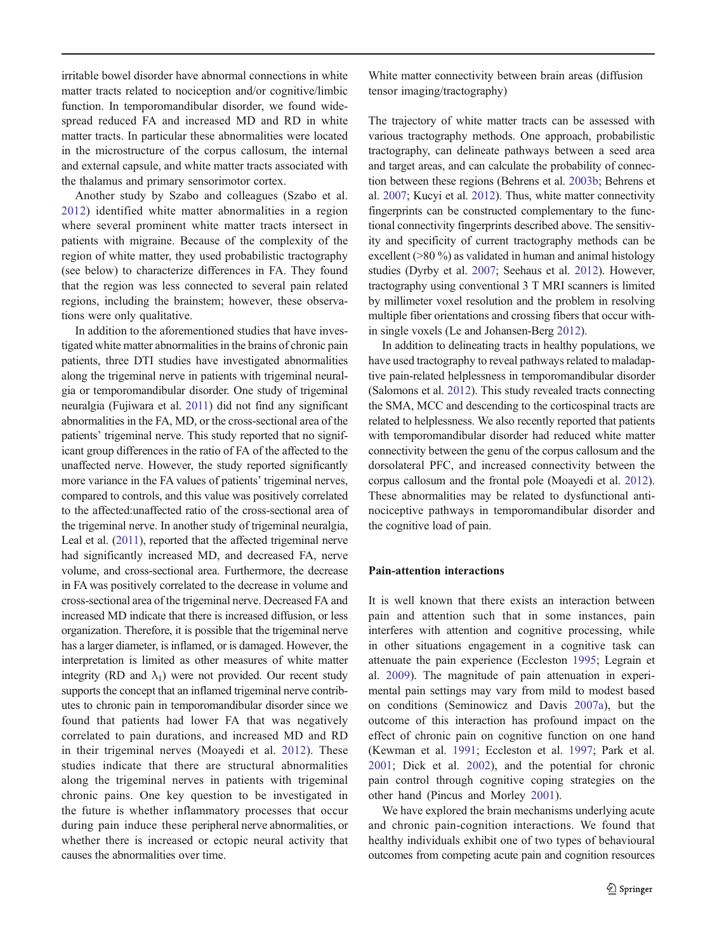irritable bowel disorder have abnormal connections in white matter tracts related to nociception and/or cognitive/limbic function. In temporomandibular disorder, we found widespread reduced FA and increased MD and RD in white matter tracts. In particular these abnormalities were located in the microstructure of the corpus callosum, the internal and external capsule, and white matter tracts associated with the thalamus and primary sensorimotor cortex.

Another study by Szabo and colleagues (Szabo et al. [2012\)](#page-16-0) identified white matter abnormalities in a region where several prominent white matter tracts intersect in patients with migraine. Because of the complexity of the region of white matter, they used probabilistic tractography (see below) to characterize differences in FA. They found that the region was less connected to several pain related regions, including the brainstem; however, these observations were only qualitative.

In addition to the aforementioned studies that have investigated white matter abnormalities in the brains of chronic pain patients, three DTI studies have investigated abnormalities along the trigeminal nerve in patients with trigeminal neuralgia or temporomandibular disorder. One study of trigeminal neuralgia (Fujiwara et al. [2011\)](#page-14-0) did not find any significant abnormalities in the FA, MD, or the cross-sectional area of the patients' trigeminal nerve. This study reported that no significant group differences in the ratio of FA of the affected to the unaffected nerve. However, the study reported significantly more variance in the FA values of patients' trigeminal nerves, compared to controls, and this value was positively correlated to the affected:unaffected ratio of the cross-sectional area of the trigeminal nerve. In another study of trigeminal neuralgia, Leal et al. [\(2011\)](#page-14-0), reported that the affected trigeminal nerve had significantly increased MD, and decreased FA, nerve volume, and cross-sectional area. Furthermore, the decrease in FA was positively correlated to the decrease in volume and cross-sectional area of the trigeminal nerve. Decreased FA and increased MD indicate that there is increased diffusion, or less organization. Therefore, it is possible that the trigeminal nerve has a larger diameter, is inflamed, or is damaged. However, the interpretation is limited as other measures of white matter integrity (RD and  $\lambda_1$ ) were not provided. Our recent study supports the concept that an inflamed trigeminal nerve contributes to chronic pain in temporomandibular disorder since we found that patients had lower FA that was negatively correlated to pain durations, and increased MD and RD in their trigeminal nerves (Moayedi et al. [2012\)](#page-15-0). These studies indicate that there are structural abnormalities along the trigeminal nerves in patients with trigeminal chronic pains. One key question to be investigated in the future is whether inflammatory processes that occur during pain induce these peripheral nerve abnormalities, or whether there is increased or ectopic neural activity that causes the abnormalities over time.

White matter connectivity between brain areas (diffusion tensor imaging/tractography)

The trajectory of white matter tracts can be assessed with various tractography methods. One approach, probabilistic tractography, can delineate pathways between a seed area and target areas, and can calculate the probability of connection between these regions (Behrens et al. [2003b](#page-12-0); Behrens et al. [2007;](#page-12-0) Kucyi et al. [2012\)](#page-14-0). Thus, white matter connectivity fingerprints can be constructed complementary to the functional connectivity fingerprints described above. The sensitivity and specificity of current tractography methods can be excellent (>80 %) as validated in human and animal histology studies (Dyrby et al. [2007;](#page-13-0) Seehaus et al. [2012](#page-15-0)). However, tractography using conventional 3 T MRI scanners is limited by millimeter voxel resolution and the problem in resolving multiple fiber orientations and crossing fibers that occur within single voxels (Le and Johansen-Berg [2012](#page-14-0)).

In addition to delineating tracts in healthy populations, we have used tractography to reveal pathways related to maladaptive pain-related helplessness in temporomandibular disorder (Salomons et al. [2012](#page-15-0)). This study revealed tracts connecting the SMA, MCC and descending to the corticospinal tracts are related to helplessness. We also recently reported that patients with temporomandibular disorder had reduced white matter connectivity between the genu of the corpus callosum and the dorsolateral PFC, and increased connectivity between the corpus callosum and the frontal pole (Moayedi et al. [2012\)](#page-15-0). These abnormalities may be related to dysfunctional antinociceptive pathways in temporomandibular disorder and the cognitive load of pain.

#### Pain-attention interactions

It is well known that there exists an interaction between pain and attention such that in some instances, pain interferes with attention and cognitive processing, while in other situations engagement in a cognitive task can attenuate the pain experience (Eccleston [1995;](#page-13-0) Legrain et al. [2009\)](#page-14-0). The magnitude of pain attenuation in experimental pain settings may vary from mild to modest based on conditions (Seminowicz and Davis [2007a\)](#page-15-0), but the outcome of this interaction has profound impact on the effect of chronic pain on cognitive function on one hand (Kewman et al. [1991;](#page-14-0) Eccleston et al. [1997;](#page-13-0) Park et al. [2001](#page-15-0); Dick et al. [2002\)](#page-13-0), and the potential for chronic pain control through cognitive coping strategies on the other hand (Pincus and Morley [2001](#page-15-0)).

We have explored the brain mechanisms underlying acute and chronic pain-cognition interactions. We found that healthy individuals exhibit one of two types of behavioural outcomes from competing acute pain and cognition resources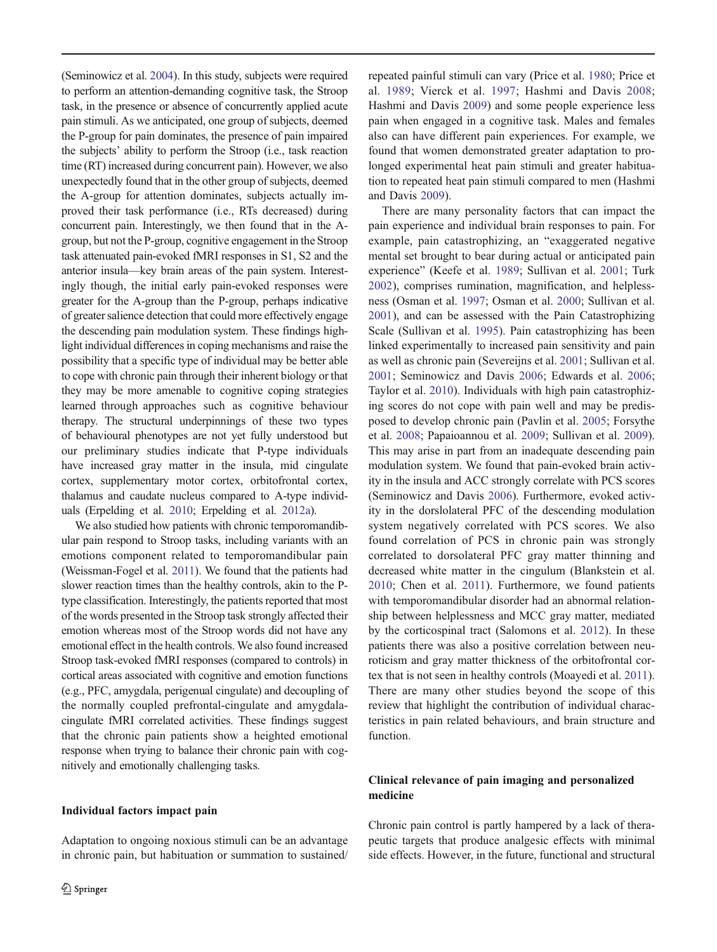(Seminowicz et al. [2004](#page-15-0)). In this study, subjects were required to perform an attention-demanding cognitive task, the Stroop task, in the presence or absence of concurrently applied acute pain stimuli. As we anticipated, one group of subjects, deemed the P-group for pain dominates, the presence of pain impaired the subjects' ability to perform the Stroop (i.e., task reaction time (RT) increased during concurrent pain). However, we also unexpectedly found that in the other group of subjects, deemed the A-group for attention dominates, subjects actually improved their task performance (i.e., RTs decreased) during concurrent pain. Interestingly, we then found that in the Agroup, but not the P-group, cognitive engagement in the Stroop task attenuated pain-evoked fMRI responses in S1, S2 and the anterior insula—key brain areas of the pain system. Interestingly though, the initial early pain-evoked responses were greater for the A-group than the P-group, perhaps indicative of greater salience detection that could more effectively engage the descending pain modulation system. These findings highlight individual differences in coping mechanisms and raise the possibility that a specific type of individual may be better able to cope with chronic pain through their inherent biology or that they may be more amenable to cognitive coping strategies learned through approaches such as cognitive behaviour therapy. The structural underpinnings of these two types of behavioural phenotypes are not yet fully understood but our preliminary studies indicate that P-type individuals have increased gray matter in the insula, mid cingulate cortex, supplementary motor cortex, orbitofrontal cortex, thalamus and caudate nucleus compared to A-type individuals (Erpelding et al. [2010](#page-13-0); Erpelding et al. [2012a\)](#page-13-0).

We also studied how patients with chronic temporomandibular pain respond to Stroop tasks, including variants with an emotions component related to temporomandibular pain (Weissman-Fogel et al. [2011\)](#page-16-0). We found that the patients had slower reaction times than the healthy controls, akin to the Ptype classification. Interestingly, the patients reported that most of the words presented in the Stroop task strongly affected their emotion whereas most of the Stroop words did not have any emotional effect in the health controls. We also found increased Stroop task-evoked fMRI responses (compared to controls) in cortical areas associated with cognitive and emotion functions (e.g., PFC, amygdala, perigenual cingulate) and decoupling of the normally coupled prefrontal-cingulate and amygdalacingulate fMRI correlated activities. These findings suggest that the chronic pain patients show a heighted emotional response when trying to balance their chronic pain with cognitively and emotionally challenging tasks.

#### Individual factors impact pain

Adaptation to ongoing noxious stimuli can be an advantage in chronic pain, but habituation or summation to sustained/ repeated painful stimuli can vary (Price et al. [1980;](#page-15-0) Price et al. [1989;](#page-15-0) Vierck et al. [1997;](#page-16-0) Hashmi and Davis [2008;](#page-14-0) Hashmi and Davis [2009\)](#page-14-0) and some people experience less pain when engaged in a cognitive task. Males and females also can have different pain experiences. For example, we found that women demonstrated greater adaptation to prolonged experimental heat pain stimuli and greater habituation to repeated heat pain stimuli compared to men (Hashmi and Davis [2009\)](#page-14-0).

There are many personality factors that can impact the pain experience and individual brain responses to pain. For example, pain catastrophizing, an "exaggerated negative mental set brought to bear during actual or anticipated pain experience" (Keefe et al. [1989;](#page-14-0) Sullivan et al. [2001;](#page-16-0) Turk [2002](#page-16-0)), comprises rumination, magnification, and helplessness (Osman et al. [1997](#page-15-0); Osman et al. [2000;](#page-15-0) Sullivan et al. [2001](#page-16-0)), and can be assessed with the Pain Catastrophizing Scale (Sullivan et al. [1995](#page-16-0)). Pain catastrophizing has been linked experimentally to increased pain sensitivity and pain as well as chronic pain (Severeijns et al. [2001](#page-15-0); Sullivan et al. [2001](#page-16-0); Seminowicz and Davis [2006](#page-15-0); Edwards et al. [2006;](#page-13-0) Taylor et al. [2010\)](#page-16-0). Individuals with high pain catastrophizing scores do not cope with pain well and may be predisposed to develop chronic pain (Pavlin et al. [2005;](#page-15-0) Forsythe et al. [2008](#page-13-0); Papaioannou et al. [2009](#page-15-0); Sullivan et al. [2009\)](#page-16-0). This may arise in part from an inadequate descending pain modulation system. We found that pain-evoked brain activity in the insula and ACC strongly correlate with PCS scores (Seminowicz and Davis [2006\)](#page-15-0). Furthermore, evoked activity in the dorslolateral PFC of the descending modulation system negatively correlated with PCS scores. We also found correlation of PCS in chronic pain was strongly correlated to dorsolateral PFC gray matter thinning and decreased white matter in the cingulum (Blankstein et al. [2010](#page-12-0); Chen et al. [2011\)](#page-13-0). Furthermore, we found patients with temporomandibular disorder had an abnormal relationship between helplessness and MCC gray matter, mediated by the corticospinal tract (Salomons et al. [2012](#page-15-0)). In these patients there was also a positive correlation between neuroticism and gray matter thickness of the orbitofrontal cortex that is not seen in healthy controls (Moayedi et al. [2011\)](#page-15-0). There are many other studies beyond the scope of this review that highlight the contribution of individual characteristics in pain related behaviours, and brain structure and function.

## Clinical relevance of pain imaging and personalized medicine

Chronic pain control is partly hampered by a lack of therapeutic targets that produce analgesic effects with minimal side effects. However, in the future, functional and structural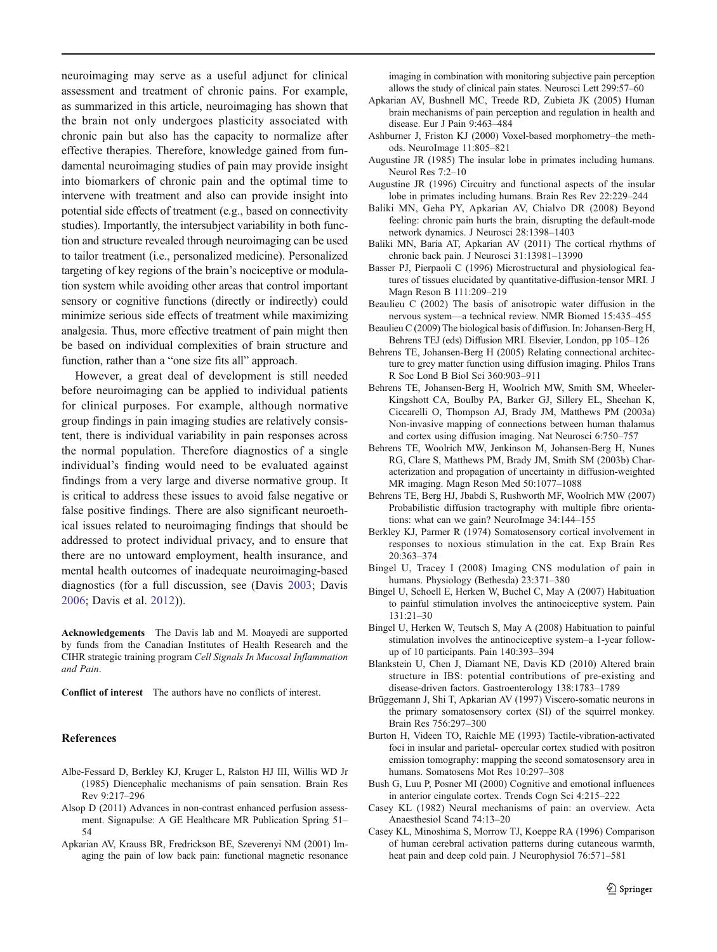<span id="page-12-0"></span>neuroimaging may serve as a useful adjunct for clinical assessment and treatment of chronic pains. For example, as summarized in this article, neuroimaging has shown that the brain not only undergoes plasticity associated with chronic pain but also has the capacity to normalize after effective therapies. Therefore, knowledge gained from fundamental neuroimaging studies of pain may provide insight into biomarkers of chronic pain and the optimal time to intervene with treatment and also can provide insight into potential side effects of treatment (e.g., based on connectivity studies). Importantly, the intersubject variability in both function and structure revealed through neuroimaging can be used to tailor treatment (i.e., personalized medicine). Personalized targeting of key regions of the brain's nociceptive or modulation system while avoiding other areas that control important sensory or cognitive functions (directly or indirectly) could minimize serious side effects of treatment while maximizing analgesia. Thus, more effective treatment of pain might then be based on individual complexities of brain structure and function, rather than a "one size fits all" approach.

However, a great deal of development is still needed before neuroimaging can be applied to individual patients for clinical purposes. For example, although normative group findings in pain imaging studies are relatively consistent, there is individual variability in pain responses across the normal population. Therefore diagnostics of a single individual's finding would need to be evaluated against findings from a very large and diverse normative group. It is critical to address these issues to avoid false negative or false positive findings. There are also significant neuroethical issues related to neuroimaging findings that should be addressed to protect individual privacy, and to ensure that there are no untoward employment, health insurance, and mental health outcomes of inadequate neuroimaging-based diagnostics (for a full discussion, see (Davis [2003](#page-13-0); Davis [2006;](#page-13-0) Davis et al. [2012](#page-13-0))).

Acknowledgements The Davis lab and M. Moayedi are supported by funds from the Canadian Institutes of Health Research and the CIHR strategic training program Cell Signals In Mucosal Inflammation and Pain.

Conflict of interest The authors have no conflicts of interest.

#### References

- Albe-Fessard D, Berkley KJ, Kruger L, Ralston HJ III, Willis WD Jr (1985) Diencephalic mechanisms of pain sensation. Brain Res Rev 9:217–296
- Alsop D (2011) Advances in non-contrast enhanced perfusion assessment. Signapulse: A GE Healthcare MR Publication Spring 51– 54
- Apkarian AV, Krauss BR, Fredrickson BE, Szeverenyi NM (2001) Imaging the pain of low back pain: functional magnetic resonance

imaging in combination with monitoring subjective pain perception allows the study of clinical pain states. Neurosci Lett 299:57–60

- Apkarian AV, Bushnell MC, Treede RD, Zubieta JK (2005) Human brain mechanisms of pain perception and regulation in health and disease. Eur J Pain 9:463–484
- Ashburner J, Friston KJ (2000) Voxel-based morphometry–the methods. NeuroImage 11:805–821
- Augustine JR (1985) The insular lobe in primates including humans. Neurol Res 7:2–10
- Augustine JR (1996) Circuitry and functional aspects of the insular lobe in primates including humans. Brain Res Rev 22:229–244
- Baliki MN, Geha PY, Apkarian AV, Chialvo DR (2008) Beyond feeling: chronic pain hurts the brain, disrupting the default-mode network dynamics. J Neurosci 28:1398–1403
- Baliki MN, Baria AT, Apkarian AV (2011) The cortical rhythms of chronic back pain. J Neurosci 31:13981–13990
- Basser PJ, Pierpaoli C (1996) Microstructural and physiological features of tissues elucidated by quantitative-diffusion-tensor MRI. J Magn Reson B 111:209–219
- Beaulieu C (2002) The basis of anisotropic water diffusion in the nervous system—a technical review. NMR Biomed 15:435–455
- Beaulieu C (2009) The biological basis of diffusion. In: Johansen-Berg H, Behrens TEJ (eds) Diffusion MRI. Elsevier, London, pp 105–126
- Behrens TE, Johansen-Berg H (2005) Relating connectional architecture to grey matter function using diffusion imaging. Philos Trans R Soc Lond B Biol Sci 360:903–911
- Behrens TE, Johansen-Berg H, Woolrich MW, Smith SM, Wheeler-Kingshott CA, Boulby PA, Barker GJ, Sillery EL, Sheehan K, Ciccarelli O, Thompson AJ, Brady JM, Matthews PM (2003a) Non-invasive mapping of connections between human thalamus and cortex using diffusion imaging. Nat Neurosci 6:750–757
- Behrens TE, Woolrich MW, Jenkinson M, Johansen-Berg H, Nunes RG, Clare S, Matthews PM, Brady JM, Smith SM (2003b) Characterization and propagation of uncertainty in diffusion-weighted MR imaging. Magn Reson Med 50:1077–1088
- Behrens TE, Berg HJ, Jbabdi S, Rushworth MF, Woolrich MW (2007) Probabilistic diffusion tractography with multiple fibre orientations: what can we gain? NeuroImage 34:144–155
- Berkley KJ, Parmer R (1974) Somatosensory cortical involvement in responses to noxious stimulation in the cat. Exp Brain Res 20:363–374
- Bingel U, Tracey I (2008) Imaging CNS modulation of pain in humans. Physiology (Bethesda) 23:371–380
- Bingel U, Schoell E, Herken W, Buchel C, May A (2007) Habituation to painful stimulation involves the antinociceptive system. Pain 131:21–30
- Bingel U, Herken W, Teutsch S, May A (2008) Habituation to painful stimulation involves the antinociceptive system–a 1-year followup of 10 participants. Pain 140:393–394
- Blankstein U, Chen J, Diamant NE, Davis KD (2010) Altered brain structure in IBS: potential contributions of pre-existing and disease-driven factors. Gastroenterology 138:1783–1789
- Brüggemann J, Shi T, Apkarian AV (1997) Viscero-somatic neurons in the primary somatosensory cortex (SI) of the squirrel monkey. Brain Res 756:297–300
- Burton H, Videen TO, Raichle ME (1993) Tactile-vibration-activated foci in insular and parietal- opercular cortex studied with positron emission tomography: mapping the second somatosensory area in humans. Somatosens Mot Res 10:297–308
- Bush G, Luu P, Posner MI (2000) Cognitive and emotional influences in anterior cingulate cortex. Trends Cogn Sci 4:215–222
- Casey KL (1982) Neural mechanisms of pain: an overview. Acta Anaesthesiol Scand 74:13–20
- Casey KL, Minoshima S, Morrow TJ, Koeppe RA (1996) Comparison of human cerebral activation patterns during cutaneous warmth, heat pain and deep cold pain. J Neurophysiol 76:571–581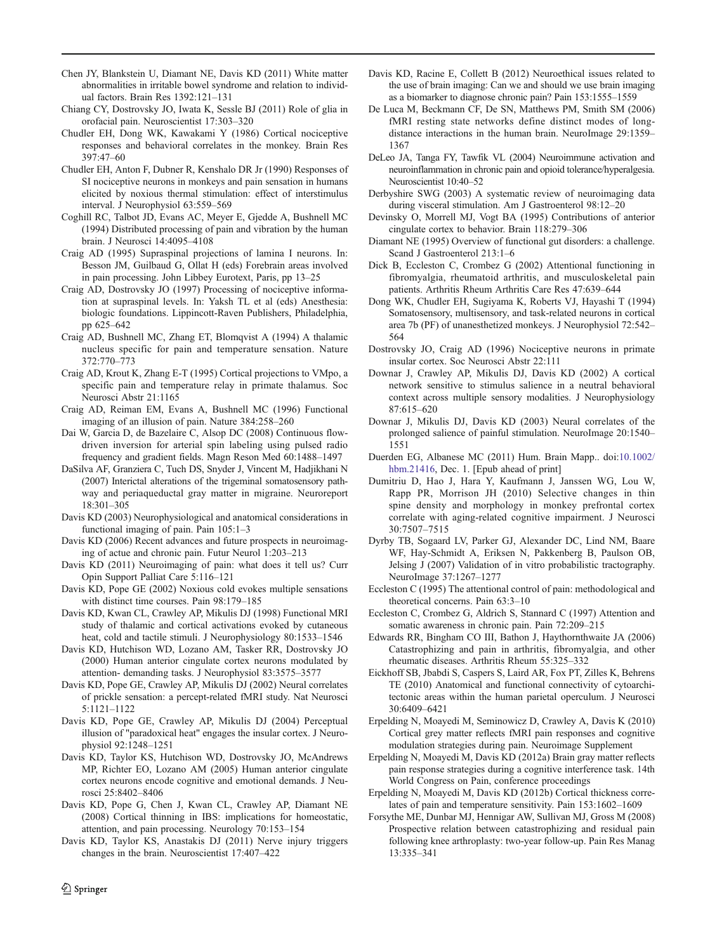- <span id="page-13-0"></span>Chen JY, Blankstein U, Diamant NE, Davis KD (2011) White matter abnormalities in irritable bowel syndrome and relation to individual factors. Brain Res 1392:121–131
- Chiang CY, Dostrovsky JO, Iwata K, Sessle BJ (2011) Role of glia in orofacial pain. Neuroscientist 17:303–320
- Chudler EH, Dong WK, Kawakami Y (1986) Cortical nociceptive responses and behavioral correlates in the monkey. Brain Res 397:47–60
- Chudler EH, Anton F, Dubner R, Kenshalo DR Jr (1990) Responses of SI nociceptive neurons in monkeys and pain sensation in humans elicited by noxious thermal stimulation: effect of interstimulus interval. J Neurophysiol 63:559–569
- Coghill RC, Talbot JD, Evans AC, Meyer E, Gjedde A, Bushnell MC (1994) Distributed processing of pain and vibration by the human brain. J Neurosci 14:4095–4108
- Craig AD (1995) Supraspinal projections of lamina I neurons. In: Besson JM, Guilbaud G, Ollat H (eds) Forebrain areas involved in pain processing. John Libbey Eurotext, Paris, pp 13–25
- Craig AD, Dostrovsky JO (1997) Processing of nociceptive information at supraspinal levels. In: Yaksh TL et al (eds) Anesthesia: biologic foundations. Lippincott-Raven Publishers, Philadelphia, pp 625–642
- Craig AD, Bushnell MC, Zhang ET, Blomqvist A (1994) A thalamic nucleus specific for pain and temperature sensation. Nature 372:770–773
- Craig AD, Krout K, Zhang E-T (1995) Cortical projections to VMpo, a specific pain and temperature relay in primate thalamus. Soc Neurosci Abstr 21:1165
- Craig AD, Reiman EM, Evans A, Bushnell MC (1996) Functional imaging of an illusion of pain. Nature 384:258–260
- Dai W, Garcia D, de Bazelaire C, Alsop DC (2008) Continuous flowdriven inversion for arterial spin labeling using pulsed radio frequency and gradient fields. Magn Reson Med 60:1488–1497
- DaSilva AF, Granziera C, Tuch DS, Snyder J, Vincent M, Hadjikhani N (2007) Interictal alterations of the trigeminal somatosensory pathway and periaqueductal gray matter in migraine. Neuroreport 18:301–305
- Davis KD (2003) Neurophysiological and anatomical considerations in functional imaging of pain. Pain 105:1–3
- Davis KD (2006) Recent advances and future prospects in neuroimaging of actue and chronic pain. Futur Neurol 1:203–213
- Davis KD (2011) Neuroimaging of pain: what does it tell us? Curr Opin Support Palliat Care 5:116–121
- Davis KD, Pope GE (2002) Noxious cold evokes multiple sensations with distinct time courses. Pain 98:179–185
- Davis KD, Kwan CL, Crawley AP, Mikulis DJ (1998) Functional MRI study of thalamic and cortical activations evoked by cutaneous heat, cold and tactile stimuli. J Neurophysiology 80:1533–1546
- Davis KD, Hutchison WD, Lozano AM, Tasker RR, Dostrovsky JO (2000) Human anterior cingulate cortex neurons modulated by attention- demanding tasks. J Neurophysiol 83:3575–3577
- Davis KD, Pope GE, Crawley AP, Mikulis DJ (2002) Neural correlates of prickle sensation: a percept-related fMRI study. Nat Neurosci 5:1121–1122
- Davis KD, Pope GE, Crawley AP, Mikulis DJ (2004) Perceptual illusion of "paradoxical heat" engages the insular cortex. J Neurophysiol 92:1248–1251
- Davis KD, Taylor KS, Hutchison WD, Dostrovsky JO, McAndrews MP, Richter EO, Lozano AM (2005) Human anterior cingulate cortex neurons encode cognitive and emotional demands. J Neurosci 25:8402–8406
- Davis KD, Pope G, Chen J, Kwan CL, Crawley AP, Diamant NE (2008) Cortical thinning in IBS: implications for homeostatic, attention, and pain processing. Neurology 70:153–154
- Davis KD, Taylor KS, Anastakis DJ (2011) Nerve injury triggers changes in the brain. Neuroscientist 17:407–422
- Davis KD, Racine E, Collett B (2012) Neuroethical issues related to the use of brain imaging: Can we and should we use brain imaging as a biomarker to diagnose chronic pain? Pain 153:1555–1559
- De Luca M, Beckmann CF, De SN, Matthews PM, Smith SM (2006) fMRI resting state networks define distinct modes of longdistance interactions in the human brain. NeuroImage 29:1359– 1367
- DeLeo JA, Tanga FY, Tawfik VL (2004) Neuroimmune activation and neuroinflammation in chronic pain and opioid tolerance/hyperalgesia. Neuroscientist 10:40–52
- Derbyshire SWG (2003) A systematic review of neuroimaging data during visceral stimulation. Am J Gastroenterol 98:12–20
- Devinsky O, Morrell MJ, Vogt BA (1995) Contributions of anterior cingulate cortex to behavior. Brain 118:279–306
- Diamant NE (1995) Overview of functional gut disorders: a challenge. Scand J Gastroenterol 213:1–6
- Dick B, Eccleston C, Crombez G (2002) Attentional functioning in fibromyalgia, rheumatoid arthritis, and musculoskeletal pain patients. Arthritis Rheum Arthritis Care Res 47:639–644
- Dong WK, Chudler EH, Sugiyama K, Roberts VJ, Hayashi T (1994) Somatosensory, multisensory, and task-related neurons in cortical area 7b (PF) of unanesthetized monkeys. J Neurophysiol 72:542– 564
- Dostrovsky JO, Craig AD (1996) Nociceptive neurons in primate insular cortex. Soc Neurosci Abstr 22:111
- Downar J, Crawley AP, Mikulis DJ, Davis KD (2002) A cortical network sensitive to stimulus salience in a neutral behavioral context across multiple sensory modalities. J Neurophysiology 87:615–620
- Downar J, Mikulis DJ, Davis KD (2003) Neural correlates of the prolonged salience of painful stimulation. NeuroImage 20:1540– 1551
- Duerden EG, Albanese MC (2011) Hum. Brain Mapp.. doi[:10.1002/](http://dx.doi.org/10.1002/hbm.21416) [hbm.21416](http://dx.doi.org/10.1002/hbm.21416), Dec. 1. [Epub ahead of print]
- Dumitriu D, Hao J, Hara Y, Kaufmann J, Janssen WG, Lou W, Rapp PR, Morrison JH (2010) Selective changes in thin spine density and morphology in monkey prefrontal cortex correlate with aging-related cognitive impairment. J Neurosci 30:7507–7515
- Dyrby TB, Sogaard LV, Parker GJ, Alexander DC, Lind NM, Baare WF, Hay-Schmidt A, Eriksen N, Pakkenberg B, Paulson OB, Jelsing J (2007) Validation of in vitro probabilistic tractography. NeuroImage 37:1267–1277
- Eccleston C (1995) The attentional control of pain: methodological and theoretical concerns. Pain 63:3–10
- Eccleston C, Crombez G, Aldrich S, Stannard C (1997) Attention and somatic awareness in chronic pain. Pain 72:209–215
- Edwards RR, Bingham CO III, Bathon J, Haythornthwaite JA (2006) Catastrophizing and pain in arthritis, fibromyalgia, and other rheumatic diseases. Arthritis Rheum 55:325–332
- Eickhoff SB, Jbabdi S, Caspers S, Laird AR, Fox PT, Zilles K, Behrens TE (2010) Anatomical and functional connectivity of cytoarchitectonic areas within the human parietal operculum. J Neurosci 30:6409–6421
- Erpelding N, Moayedi M, Seminowicz D, Crawley A, Davis K (2010) Cortical grey matter reflects fMRI pain responses and cognitive modulation strategies during pain. Neuroimage Supplement
- Erpelding N, Moayedi M, Davis KD (2012a) Brain gray matter reflects pain response strategies during a cognitive interference task. 14th World Congress on Pain, conference proceedings
- Erpelding N, Moayedi M, Davis KD (2012b) Cortical thickness correlates of pain and temperature sensitivity. Pain 153:1602–1609
- Forsythe ME, Dunbar MJ, Hennigar AW, Sullivan MJ, Gross M (2008) Prospective relation between catastrophizing and residual pain following knee arthroplasty: two-year follow-up. Pain Res Manag 13:335–341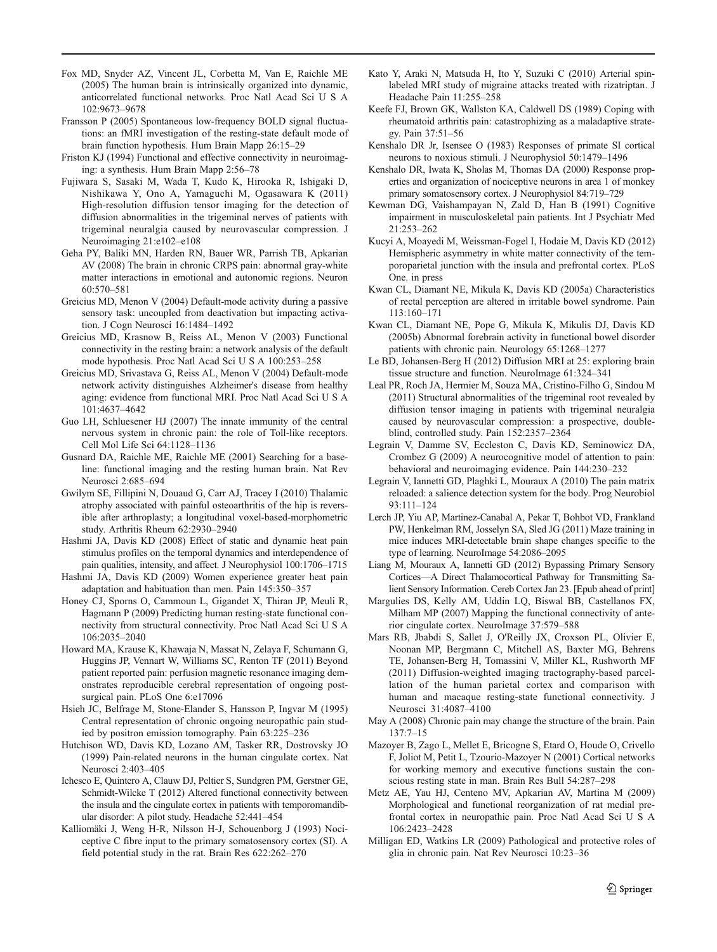- <span id="page-14-0"></span>Fox MD, Snyder AZ, Vincent JL, Corbetta M, Van E, Raichle ME (2005) The human brain is intrinsically organized into dynamic, anticorrelated functional networks. Proc Natl Acad Sci U S A 102:9673–9678
- Fransson P (2005) Spontaneous low-frequency BOLD signal fluctuations: an fMRI investigation of the resting-state default mode of brain function hypothesis. Hum Brain Mapp 26:15–29
- Friston KJ (1994) Functional and effective connectivity in neuroimaging: a synthesis. Hum Brain Mapp 2:56–78
- Fujiwara S, Sasaki M, Wada T, Kudo K, Hirooka R, Ishigaki D, Nishikawa Y, Ono A, Yamaguchi M, Ogasawara K (2011) High-resolution diffusion tensor imaging for the detection of diffusion abnormalities in the trigeminal nerves of patients with trigeminal neuralgia caused by neurovascular compression. J Neuroimaging 21:e102–e108
- Geha PY, Baliki MN, Harden RN, Bauer WR, Parrish TB, Apkarian AV (2008) The brain in chronic CRPS pain: abnormal gray-white matter interactions in emotional and autonomic regions. Neuron 60:570–581
- Greicius MD, Menon V (2004) Default-mode activity during a passive sensory task: uncoupled from deactivation but impacting activation. J Cogn Neurosci 16:1484–1492
- Greicius MD, Krasnow B, Reiss AL, Menon V (2003) Functional connectivity in the resting brain: a network analysis of the default mode hypothesis. Proc Natl Acad Sci U S A 100:253–258
- Greicius MD, Srivastava G, Reiss AL, Menon V (2004) Default-mode network activity distinguishes Alzheimer's disease from healthy aging: evidence from functional MRI. Proc Natl Acad Sci U S A 101:4637–4642
- Guo LH, Schluesener HJ (2007) The innate immunity of the central nervous system in chronic pain: the role of Toll-like receptors. Cell Mol Life Sci 64:1128–1136
- Gusnard DA, Raichle ME, Raichle ME (2001) Searching for a baseline: functional imaging and the resting human brain. Nat Rev Neurosci 2:685–694
- Gwilym SE, Fillipini N, Douaud G, Carr AJ, Tracey I (2010) Thalamic atrophy associated with painful osteoarthritis of the hip is reversible after arthroplasty; a longitudinal voxel-based-morphometric study. Arthritis Rheum 62:2930–2940
- Hashmi JA, Davis KD (2008) Effect of static and dynamic heat pain stimulus profiles on the temporal dynamics and interdependence of pain qualities, intensity, and affect. J Neurophysiol 100:1706–1715
- Hashmi JA, Davis KD (2009) Women experience greater heat pain adaptation and habituation than men. Pain 145:350–357
- Honey CJ, Sporns O, Cammoun L, Gigandet X, Thiran JP, Meuli R, Hagmann P (2009) Predicting human resting-state functional connectivity from structural connectivity. Proc Natl Acad Sci U S A 106:2035–2040
- Howard MA, Krause K, Khawaja N, Massat N, Zelaya F, Schumann G, Huggins JP, Vennart W, Williams SC, Renton TF (2011) Beyond patient reported pain: perfusion magnetic resonance imaging demonstrates reproducible cerebral representation of ongoing postsurgical pain. PLoS One 6:e17096
- Hsieh JC, Belfrage M, Stone-Elander S, Hansson P, Ingvar M (1995) Central representation of chronic ongoing neuropathic pain studied by positron emission tomography. Pain 63:225–236
- Hutchison WD, Davis KD, Lozano AM, Tasker RR, Dostrovsky JO (1999) Pain-related neurons in the human cingulate cortex. Nat Neurosci 2:403–405
- Ichesco E, Quintero A, Clauw DJ, Peltier S, Sundgren PM, Gerstner GE, Schmidt-Wilcke T (2012) Altered functional connectivity between the insula and the cingulate cortex in patients with temporomandibular disorder: A pilot study. Headache 52:441–454
- Kalliomäki J, Weng H-R, Nilsson H-J, Schouenborg J (1993) Nociceptive C fibre input to the primary somatosensory cortex (SI). A field potential study in the rat. Brain Res 622:262–270
- Kato Y, Araki N, Matsuda H, Ito Y, Suzuki C (2010) Arterial spinlabeled MRI study of migraine attacks treated with rizatriptan. J Headache Pain 11:255–258
- Keefe FJ, Brown GK, Wallston KA, Caldwell DS (1989) Coping with rheumatoid arthritis pain: catastrophizing as a maladaptive strategy. Pain 37:51–56
- Kenshalo DR Jr, Isensee O (1983) Responses of primate SI cortical neurons to noxious stimuli. J Neurophysiol 50:1479–1496
- Kenshalo DR, Iwata K, Sholas M, Thomas DA (2000) Response properties and organization of nociceptive neurons in area 1 of monkey primary somatosensory cortex. J Neurophysiol 84:719–729
- Kewman DG, Vaishampayan N, Zald D, Han B (1991) Cognitive impairment in musculoskeletal pain patients. Int J Psychiatr Med 21:253–262
- Kucyi A, Moayedi M, Weissman-Fogel I, Hodaie M, Davis KD (2012) Hemispheric asymmetry in white matter connectivity of the temporoparietal junction with the insula and prefrontal cortex. PLoS One. in press
- Kwan CL, Diamant NE, Mikula K, Davis KD (2005a) Characteristics of rectal perception are altered in irritable bowel syndrome. Pain 113:160–171
- Kwan CL, Diamant NE, Pope G, Mikula K, Mikulis DJ, Davis KD (2005b) Abnormal forebrain activity in functional bowel disorder patients with chronic pain. Neurology 65:1268–1277
- Le BD, Johansen-Berg H (2012) Diffusion MRI at 25: exploring brain tissue structure and function. NeuroImage 61:324–341
- Leal PR, Roch JA, Hermier M, Souza MA, Cristino-Filho G, Sindou M (2011) Structural abnormalities of the trigeminal root revealed by diffusion tensor imaging in patients with trigeminal neuralgia caused by neurovascular compression: a prospective, doubleblind, controlled study. Pain 152:2357–2364
- Legrain V, Damme SV, Eccleston C, Davis KD, Seminowicz DA, Crombez G (2009) A neurocognitive model of attention to pain: behavioral and neuroimaging evidence. Pain 144:230–232
- Legrain V, Iannetti GD, Plaghki L, Mouraux A (2010) The pain matrix reloaded: a salience detection system for the body. Prog Neurobiol 93:111–124
- Lerch JP, Yiu AP, Martinez-Canabal A, Pekar T, Bohbot VD, Frankland PW, Henkelman RM, Josselyn SA, Sled JG (2011) Maze training in mice induces MRI-detectable brain shape changes specific to the type of learning. NeuroImage 54:2086–2095
- Liang M, Mouraux A, Iannetti GD (2012) Bypassing Primary Sensory Cortices—A Direct Thalamocortical Pathway for Transmitting Salient Sensory Information. Cereb Cortex Jan 23. [Epub ahead of print]
- Margulies DS, Kelly AM, Uddin LQ, Biswal BB, Castellanos FX, Milham MP (2007) Mapping the functional connectivity of anterior cingulate cortex. NeuroImage 37:579–588
- Mars RB, Jbabdi S, Sallet J, O'Reilly JX, Croxson PL, Olivier E, Noonan MP, Bergmann C, Mitchell AS, Baxter MG, Behrens TE, Johansen-Berg H, Tomassini V, Miller KL, Rushworth MF (2011) Diffusion-weighted imaging tractography-based parcellation of the human parietal cortex and comparison with human and macaque resting-state functional connectivity. J Neurosci 31:4087–4100
- May A (2008) Chronic pain may change the structure of the brain. Pain 137:7–15
- Mazoyer B, Zago L, Mellet E, Bricogne S, Etard O, Houde O, Crivello F, Joliot M, Petit L, Tzourio-Mazoyer N (2001) Cortical networks for working memory and executive functions sustain the conscious resting state in man. Brain Res Bull 54:287–298
- Metz AE, Yau HJ, Centeno MV, Apkarian AV, Martina M (2009) Morphological and functional reorganization of rat medial prefrontal cortex in neuropathic pain. Proc Natl Acad Sci U S A 106:2423–2428
- Milligan ED, Watkins LR (2009) Pathological and protective roles of glia in chronic pain. Nat Rev Neurosci 10:23–36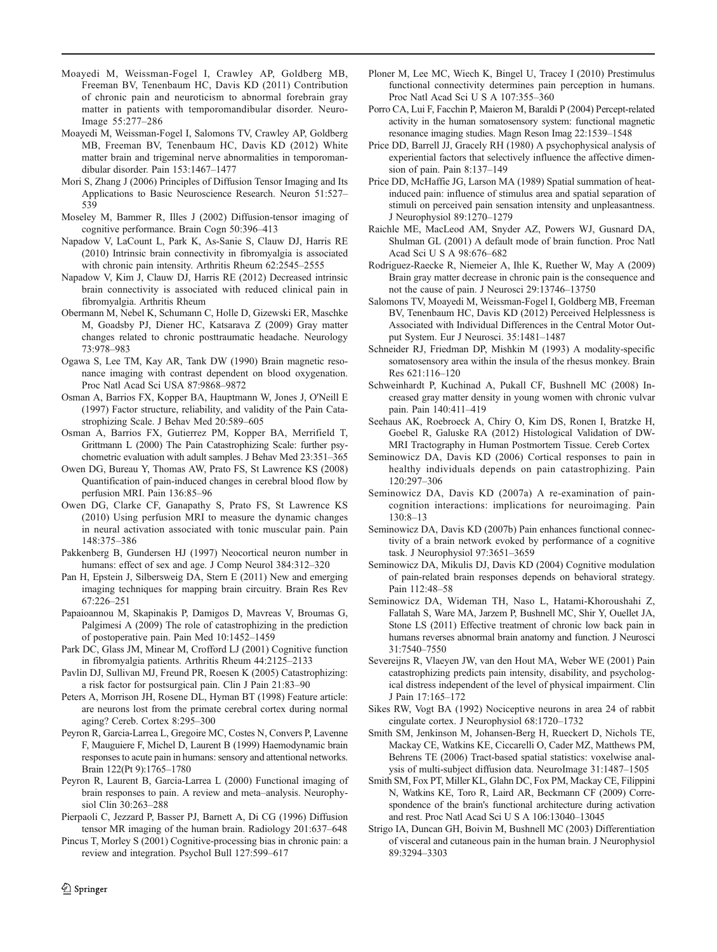- <span id="page-15-0"></span>Moayedi M, Weissman-Fogel I, Crawley AP, Goldberg MB, Freeman BV, Tenenbaum HC, Davis KD (2011) Contribution of chronic pain and neuroticism to abnormal forebrain gray matter in patients with temporomandibular disorder. Neuro-Image 55:277–286
- Moayedi M, Weissman-Fogel I, Salomons TV, Crawley AP, Goldberg MB, Freeman BV, Tenenbaum HC, Davis KD (2012) White matter brain and trigeminal nerve abnormalities in temporomandibular disorder. Pain 153:1467–1477
- Mori S, Zhang J (2006) Principles of Diffusion Tensor Imaging and Its Applications to Basic Neuroscience Research. Neuron 51:527– 539
- Moseley M, Bammer R, Illes J (2002) Diffusion-tensor imaging of cognitive performance. Brain Cogn 50:396–413
- Napadow V, LaCount L, Park K, As-Sanie S, Clauw DJ, Harris RE (2010) Intrinsic brain connectivity in fibromyalgia is associated with chronic pain intensity. Arthritis Rheum 62:2545–2555
- Napadow V, Kim J, Clauw DJ, Harris RE (2012) Decreased intrinsic brain connectivity is associated with reduced clinical pain in fibromyalgia. Arthritis Rheum
- Obermann M, Nebel K, Schumann C, Holle D, Gizewski ER, Maschke M, Goadsby PJ, Diener HC, Katsarava Z (2009) Gray matter changes related to chronic posttraumatic headache. Neurology 73:978–983
- Ogawa S, Lee TM, Kay AR, Tank DW (1990) Brain magnetic resonance imaging with contrast dependent on blood oxygenation. Proc Natl Acad Sci USA 87:9868–9872
- Osman A, Barrios FX, Kopper BA, Hauptmann W, Jones J, O'Neill E (1997) Factor structure, reliability, and validity of the Pain Catastrophizing Scale. J Behav Med 20:589–605
- Osman A, Barrios FX, Gutierrez PM, Kopper BA, Merrifield T, Grittmann L (2000) The Pain Catastrophizing Scale: further psychometric evaluation with adult samples. J Behav Med 23:351–365
- Owen DG, Bureau Y, Thomas AW, Prato FS, St Lawrence KS (2008) Quantification of pain-induced changes in cerebral blood flow by perfusion MRI. Pain 136:85–96
- Owen DG, Clarke CF, Ganapathy S, Prato FS, St Lawrence KS (2010) Using perfusion MRI to measure the dynamic changes in neural activation associated with tonic muscular pain. Pain 148:375–386
- Pakkenberg B, Gundersen HJ (1997) Neocortical neuron number in humans: effect of sex and age. J Comp Neurol 384:312–320
- Pan H, Epstein J, Silbersweig DA, Stern E (2011) New and emerging imaging techniques for mapping brain circuitry. Brain Res Rev 67:226–251
- Papaioannou M, Skapinakis P, Damigos D, Mavreas V, Broumas G, Palgimesi A (2009) The role of catastrophizing in the prediction of postoperative pain. Pain Med 10:1452–1459
- Park DC, Glass JM, Minear M, Crofford LJ (2001) Cognitive function in fibromyalgia patients. Arthritis Rheum 44:2125–2133
- Pavlin DJ, Sullivan MJ, Freund PR, Roesen K (2005) Catastrophizing: a risk factor for postsurgical pain. Clin J Pain 21:83–90
- Peters A, Morrison JH, Rosene DL, Hyman BT (1998) Feature article: are neurons lost from the primate cerebral cortex during normal aging? Cereb. Cortex 8:295–300
- Peyron R, Garcia-Larrea L, Gregoire MC, Costes N, Convers P, Lavenne F, Mauguiere F, Michel D, Laurent B (1999) Haemodynamic brain responses to acute pain in humans: sensory and attentional networks. Brain 122(Pt 9):1765–1780
- Peyron R, Laurent B, Garcia-Larrea L (2000) Functional imaging of brain responses to pain. A review and meta–analysis. Neurophysiol Clin 30:263–288
- Pierpaoli C, Jezzard P, Basser PJ, Barnett A, Di CG (1996) Diffusion tensor MR imaging of the human brain. Radiology 201:637–648
- Pincus T, Morley S (2001) Cognitive-processing bias in chronic pain: a review and integration. Psychol Bull 127:599–617
- Ploner M, Lee MC, Wiech K, Bingel U, Tracey I (2010) Prestimulus functional connectivity determines pain perception in humans. Proc Natl Acad Sci U S A 107:355–360
- Porro CA, Lui F, Facchin P, Maieron M, Baraldi P (2004) Percept-related activity in the human somatosensory system: functional magnetic resonance imaging studies. Magn Reson Imag 22:1539–1548
- Price DD, Barrell JJ, Gracely RH (1980) A psychophysical analysis of experiential factors that selectively influence the affective dimension of pain. Pain 8:137–149
- Price DD, McHaffie JG, Larson MA (1989) Spatial summation of heatinduced pain: influence of stimulus area and spatial separation of stimuli on perceived pain sensation intensity and unpleasantness. J Neurophysiol 89:1270–1279
- Raichle ME, MacLeod AM, Snyder AZ, Powers WJ, Gusnard DA, Shulman GL (2001) A default mode of brain function. Proc Natl Acad Sci U S A 98:676–682
- Rodriguez-Raecke R, Niemeier A, Ihle K, Ruether W, May A (2009) Brain gray matter decrease in chronic pain is the consequence and not the cause of pain. J Neurosci 29:13746–13750
- Salomons TV, Moayedi M, Weissman-Fogel I, Goldberg MB, Freeman BV, Tenenbaum HC, Davis KD (2012) Perceived Helplessness is Associated with Individual Differences in the Central Motor Output System. Eur J Neurosci. 35:1481–1487
- Schneider RJ, Friedman DP, Mishkin M (1993) A modality-specific somatosensory area within the insula of the rhesus monkey. Brain Res 621:116–120
- Schweinhardt P, Kuchinad A, Pukall CF, Bushnell MC (2008) Increased gray matter density in young women with chronic vulvar pain. Pain 140:411–419
- Seehaus AK, Roebroeck A, Chiry O, Kim DS, Ronen I, Bratzke H, Goebel R, Galuske RA (2012) Histological Validation of DW-MRI Tractography in Human Postmortem Tissue. Cereb Cortex
- Seminowicz DA, Davis KD (2006) Cortical responses to pain in healthy individuals depends on pain catastrophizing. Pain 120:297–306
- Seminowicz DA, Davis KD (2007a) A re-examination of paincognition interactions: implications for neuroimaging. Pain  $130.8 - 13$
- Seminowicz DA, Davis KD (2007b) Pain enhances functional connectivity of a brain network evoked by performance of a cognitive task. J Neurophysiol 97:3651–3659
- Seminowicz DA, Mikulis DJ, Davis KD (2004) Cognitive modulation of pain-related brain responses depends on behavioral strategy. Pain 112:48–58
- Seminowicz DA, Wideman TH, Naso L, Hatami-Khoroushahi Z, Fallatah S, Ware MA, Jarzem P, Bushnell MC, Shir Y, Ouellet JA, Stone LS (2011) Effective treatment of chronic low back pain in humans reverses abnormal brain anatomy and function. J Neurosci 31:7540–7550
- Severeijns R, Vlaeyen JW, van den Hout MA, Weber WE (2001) Pain catastrophizing predicts pain intensity, disability, and psychological distress independent of the level of physical impairment. Clin J Pain 17:165–172
- Sikes RW, Vogt BA (1992) Nociceptive neurons in area 24 of rabbit cingulate cortex. J Neurophysiol 68:1720–1732
- Smith SM, Jenkinson M, Johansen-Berg H, Rueckert D, Nichols TE, Mackay CE, Watkins KE, Ciccarelli O, Cader MZ, Matthews PM, Behrens TE (2006) Tract-based spatial statistics: voxelwise analysis of multi-subject diffusion data. NeuroImage 31:1487–1505
- Smith SM, Fox PT, Miller KL, Glahn DC, Fox PM, Mackay CE, Filippini N, Watkins KE, Toro R, Laird AR, Beckmann CF (2009) Correspondence of the brain's functional architecture during activation and rest. Proc Natl Acad Sci U S A 106:13040–13045
- Strigo IA, Duncan GH, Boivin M, Bushnell MC (2003) Differentiation of visceral and cutaneous pain in the human brain. J Neurophysiol 89:3294–3303